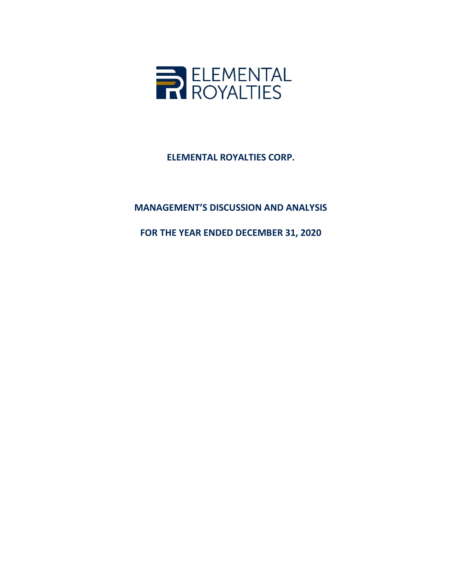

ELEMENTAL ROYALTIES CORP.

# MANAGEMENT'S DISCUSSION AND ANALYSIS

FOR THE YEAR ENDED DECEMBER 31, 2020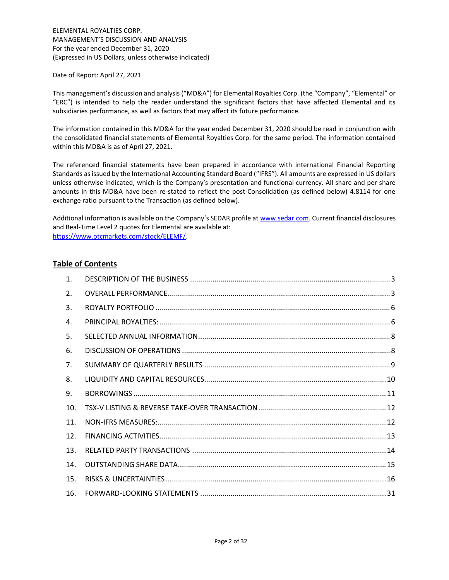ELEMENTAL ROYALTIES CORP. MANAGEMENT'S DISCUSSION AND ANALYSIS For the year ended December 31, 2020 (Expressed in US Dollars, unless otherwise indicated)

Date of Report: April 27, 2021

This management's discussion and analysis ("MD&A") for Elemental Royalties Corp. (the "Company", "Elemental" or "ERC") is intended to help the reader understand the significant factors that have affected Elemental and its subsidiaries performance, as well as factors that may affect its future performance.

The information contained in this MD&A for the year ended December 31, 2020 should be read in conjunction with the consolidated financial statements of Elemental Royalties Corp. for the same period. The information contained within this MD&A is as of April 27, 2021.

The referenced financial statements have been prepared in accordance with international Financial Reporting Standards as issued by the International Accounting Standard Board ("IFRS"). All amounts are expressed in US dollars unless otherwise indicated, which is the Company's presentation and functional currency. All share and per share amounts in this MD&A have been re-stated to reflect the post-Consolidation (as defined below) 4.8114 for one exchange ratio pursuant to the Transaction (as defined below).

Additional information is available on the Company's SEDAR profile at www.sedar.com. Current financial disclosures and Real-Time Level 2 quotes for Elemental are available at: https://www.otcmarkets.com/stock/ELEMF/.

# Table of Contents

| $\mathbf{1}$ .  |  |
|-----------------|--|
| 2.              |  |
| 3.              |  |
| 4.              |  |
| 5.              |  |
| 6.              |  |
| 7.              |  |
| 8.              |  |
| 9.              |  |
| 10.             |  |
| 11 <sub>1</sub> |  |
| 12.             |  |
| 13.             |  |
| 14.             |  |
| 15.             |  |
| 16.             |  |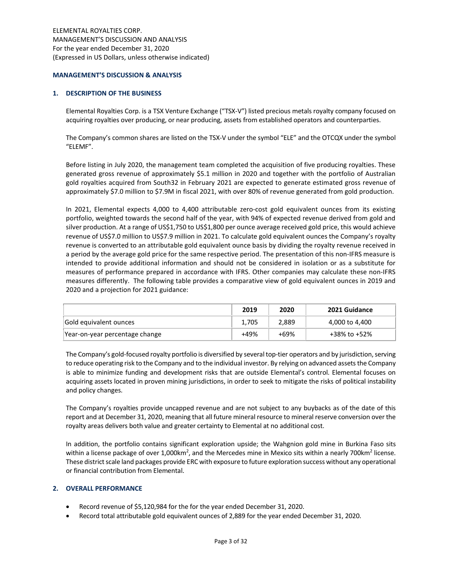#### MANAGEMENT'S DISCUSSION & ANALYSIS

### 1. DESCRIPTION OF THE BUSINESS

Elemental Royalties Corp. is a TSX Venture Exchange ("TSX-V") listed precious metals royalty company focused on acquiring royalties over producing, or near producing, assets from established operators and counterparties.

The Company's common shares are listed on the TSX-V under the symbol "ELE" and the OTCQX under the symbol "ELEMF".

Before listing in July 2020, the management team completed the acquisition of five producing royalties. These generated gross revenue of approximately \$5.1 million in 2020 and together with the portfolio of Australian gold royalties acquired from South32 in February 2021 are expected to generate estimated gross revenue of approximately \$7.0 million to \$7.9M in fiscal 2021, with over 80% of revenue generated from gold production.

In 2021, Elemental expects 4,000 to 4,400 attributable zero-cost gold equivalent ounces from its existing portfolio, weighted towards the second half of the year, with 94% of expected revenue derived from gold and silver production. At a range of US\$1,750 to US\$1,800 per ounce average received gold price, this would achieve revenue of US\$7.0 million to US\$7.9 million in 2021. To calculate gold equivalent ounces the Company's royalty revenue is converted to an attributable gold equivalent ounce basis by dividing the royalty revenue received in a period by the average gold price for the same respective period. The presentation of this non-IFRS measure is intended to provide additional information and should not be considered in isolation or as a substitute for measures of performance prepared in accordance with IFRS. Other companies may calculate these non-IFRS measures differently. The following table provides a comparative view of gold equivalent ounces in 2019 and 2020 and a projection for 2021 guidance:

|                                | 2019  | 2020  | 2021 Guidance  |
|--------------------------------|-------|-------|----------------|
| Gold equivalent ounces         | 1,705 | 2,889 | 4,000 to 4,400 |
| Year-on-year percentage change | +49%  | +69%  | +38% to +52%   |

The Company's gold-focused royalty portfolio is diversified by several top-tier operators and by jurisdiction, serving to reduce operating risk to the Company and to the individual investor. By relying on advanced assets the Company is able to minimize funding and development risks that are outside Elemental's control. Elemental focuses on acquiring assets located in proven mining jurisdictions, in order to seek to mitigate the risks of political instability and policy changes.

The Company's royalties provide uncapped revenue and are not subject to any buybacks as of the date of this report and at December 31, 2020, meaning that all future mineral resource to mineral reserve conversion over the royalty areas delivers both value and greater certainty to Elemental at no additional cost.

In addition, the portfolio contains significant exploration upside; the Wahgnion gold mine in Burkina Faso sits within a license package of over 1,000km<sup>2</sup>, and the Mercedes mine in Mexico sits within a nearly 700km<sup>2</sup> license. These district scale land packages provide ERC with exposure to future exploration success without any operational or financial contribution from Elemental.

### 2. OVERALL PERFORMANCE

- Record revenue of \$5,120,984 for the for the year ended December 31, 2020.
- Record total attributable gold equivalent ounces of 2,889 for the year ended December 31, 2020.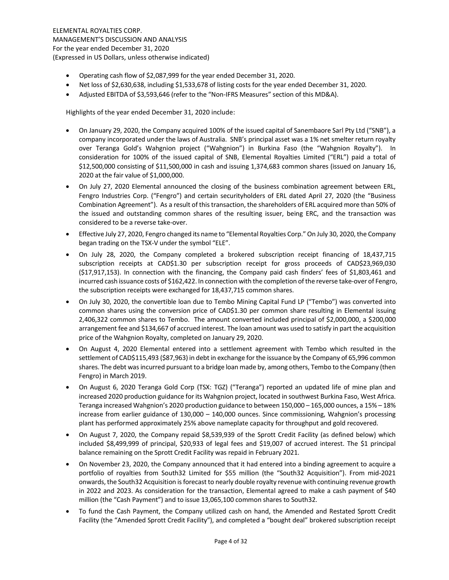- Operating cash flow of \$2,087,999 for the year ended December 31, 2020.
- Net loss of \$2,630,638, including \$1,533,678 of listing costs for the year ended December 31, 2020.
- Adjusted EBITDA of \$3,593,646 (refer to the "Non-IFRS Measures" section of this MD&A).

Highlights of the year ended December 31, 2020 include:

- On January 29, 2020, the Company acquired 100% of the issued capital of Sanembaore Sarl Pty Ltd ("SNB"), a company incorporated under the laws of Australia. SNB's principal asset was a 1% net smelter return royalty over Teranga Gold's Wahgnion project ("Wahgnion") in Burkina Faso (the "Wahgnion Royalty"). In consideration for 100% of the issued capital of SNB, Elemental Royalties Limited ("ERL") paid a total of \$12,500,000 consisting of \$11,500,000 in cash and issuing 1,374,683 common shares (issued on January 16, 2020 at the fair value of \$1,000,000.
- On July 27, 2020 Elemental announced the closing of the business combination agreement between ERL, Fengro Industries Corp. ("Fengro") and certain securityholders of ERL dated April 27, 2020 (the "Business Combination Agreement"). As a result of this transaction, the shareholders of ERL acquired more than 50% of the issued and outstanding common shares of the resulting issuer, being ERC, and the transaction was considered to be a reverse take-over.
- Effective July 27, 2020, Fengro changed its name to "Elemental Royalties Corp." On July 30, 2020, the Company began trading on the TSX-V under the symbol "ELE".
- On July 28, 2020, the Company completed a brokered subscription receipt financing of 18,437,715 subscription receipts at CAD\$1.30 per subscription receipt for gross proceeds of CAD\$23,969,030 (\$17,917,153). In connection with the financing, the Company paid cash finders' fees of \$1,803,461 and incurred cash issuance costs of \$162,422. In connection with the completion of the reverse take-over of Fengro, the subscription receipts were exchanged for 18,437,715 common shares.
- On July 30, 2020, the convertible loan due to Tembo Mining Capital Fund LP ("Tembo") was converted into common shares using the conversion price of CAD\$1.30 per common share resulting in Elemental issuing 2,406,322 common shares to Tembo. The amount converted included principal of \$2,000,000, a \$200,000 arrangement fee and \$134,667 of accrued interest. The loan amount was used to satisfy in part the acquisition price of the Wahgnion Royalty, completed on January 29, 2020.
- On August 4, 2020 Elemental entered into a settlement agreement with Tembo which resulted in the settlement of CAD\$115,493 (\$87,963) in debt in exchange for the issuance by the Company of 65,996 common shares. The debt was incurred pursuant to a bridge loan made by, among others, Tembo to the Company (then Fengro) in March 2019.
- On August 6, 2020 Teranga Gold Corp (TSX: TGZ) ("Teranga") reported an updated life of mine plan and increased 2020 production guidance for its Wahgnion project, located in southwest Burkina Faso, West Africa. Teranga increased Wahgnion's 2020 production guidance to between 150,000 – 165,000 ounces, a 15% – 18% increase from earlier guidance of 130,000 – 140,000 ounces. Since commissioning, Wahgnion's processing plant has performed approximately 25% above nameplate capacity for throughput and gold recovered.
- On August 7, 2020, the Company repaid \$8,539,939 of the Sprott Credit Facility (as defined below) which included \$8,499,999 of principal, \$20,933 of legal fees and \$19,007 of accrued interest. The \$1 principal balance remaining on the Sprott Credit Facility was repaid in February 2021.
- On November 23, 2020, the Company announced that it had entered into a binding agreement to acquire a portfolio of royalties from South32 Limited for \$55 million (the "South32 Acquisition"). From mid-2021 onwards, the South32 Acquisition is forecast to nearly double royalty revenue with continuing revenue growth in 2022 and 2023. As consideration for the transaction, Elemental agreed to make a cash payment of \$40 million (the "Cash Payment") and to issue 13,065,100 common shares to South32.
- To fund the Cash Payment, the Company utilized cash on hand, the Amended and Restated Sprott Credit Facility (the "Amended Sprott Credit Facility"), and completed a "bought deal" brokered subscription receipt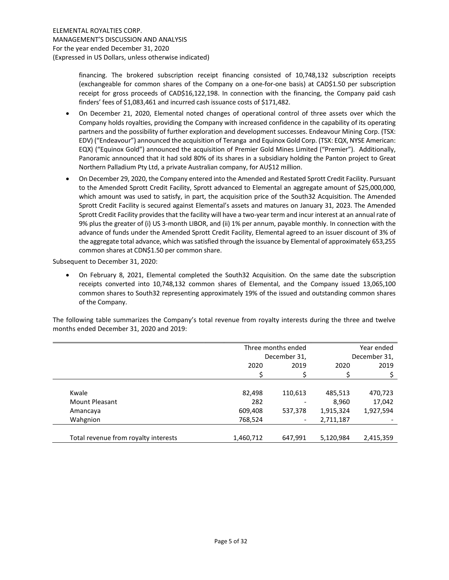financing. The brokered subscription receipt financing consisted of 10,748,132 subscription receipts (exchangeable for common shares of the Company on a one-for-one basis) at CAD\$1.50 per subscription receipt for gross proceeds of CAD\$16,122,198. In connection with the financing, the Company paid cash finders' fees of \$1,083,461 and incurred cash issuance costs of \$171,482.

- On December 21, 2020, Elemental noted changes of operational control of three assets over which the Company holds royalties, providing the Company with increased confidence in the capability of its operating partners and the possibility of further exploration and development successes. Endeavour Mining Corp. (TSX: EDV) ("Endeavour") announced the acquisition of Teranga and Equinox Gold Corp. (TSX: EQX, NYSE American: EQX) ("Equinox Gold") announced the acquisition of Premier Gold Mines Limited ("Premier"). Additionally, Panoramic announced that it had sold 80% of its shares in a subsidiary holding the Panton project to Great Northern Palladium Pty Ltd, a private Australian company, for AU\$12 million.
- On December 29, 2020, the Company entered into the Amended and Restated Sprott Credit Facility. Pursuant to the Amended Sprott Credit Facility, Sprott advanced to Elemental an aggregate amount of \$25,000,000, which amount was used to satisfy, in part, the acquisition price of the South32 Acquisition. The Amended Sprott Credit Facility is secured against Elemental's assets and matures on January 31, 2023. The Amended Sprott Credit Facility provides that the facility will have a two-year term and incur interest at an annual rate of 9% plus the greater of (i) US 3-month LIBOR, and (ii) 1% per annum, payable monthly. In connection with the advance of funds under the Amended Sprott Credit Facility, Elemental agreed to an issuer discount of 3% of the aggregate total advance, which was satisfied through the issuance by Elemental of approximately 653,255 common shares at CDN\$1.50 per common share.

Subsequent to December 31, 2020:

 On February 8, 2021, Elemental completed the South32 Acquisition. On the same date the subscription receipts converted into 10,748,132 common shares of Elemental, and the Company issued 13,065,100 common shares to South32 representing approximately 19% of the issued and outstanding common shares of the Company.

The following table summarizes the Company's total revenue from royalty interests during the three and twelve months ended December 31, 2020 and 2019:

|                                      | Three months ended |                          | Year ended   |           |  |
|--------------------------------------|--------------------|--------------------------|--------------|-----------|--|
|                                      |                    | December 31,             | December 31, |           |  |
|                                      | 2020               | 2019                     | 2020         | 2019      |  |
|                                      |                    |                          |              |           |  |
|                                      |                    |                          |              |           |  |
| Kwale                                | 82,498             | 110,613                  | 485,513      | 470,723   |  |
| <b>Mount Pleasant</b>                | 282                |                          | 8,960        | 17,042    |  |
| Amancaya                             | 609,408            | 537,378                  | 1,915,324    | 1,927,594 |  |
| Wahgnion                             | 768,524            | $\overline{\phantom{a}}$ | 2,711,187    |           |  |
|                                      |                    |                          |              |           |  |
| Total revenue from royalty interests | 1,460,712          | 647,991                  | 5,120,984    | 2,415,359 |  |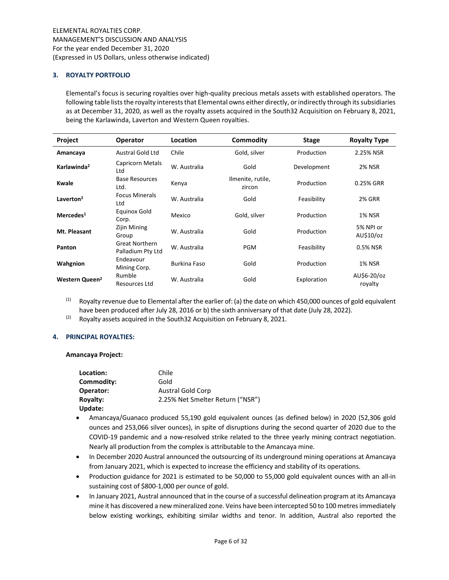# 3. ROYALTY PORTFOLIO

Elemental's focus is securing royalties over high-quality precious metals assets with established operators. The following table lists the royalty interests that Elemental owns either directly, or indirectly through its subsidiaries as at December 31, 2020, as well as the royalty assets acquired in the South32 Acquisition on February 8, 2021, being the Karlawinda, Laverton and Western Queen royalties.

| Project                    | <b>Operator</b>                            | Location     | Commodity                   | <b>Stage</b> | <b>Royalty Type</b>    |
|----------------------------|--------------------------------------------|--------------|-----------------------------|--------------|------------------------|
| Amancaya                   | Austral Gold Ltd                           | Chile        | Gold, silver                | Production   | 2.25% NSR              |
| Karlawinda <sup>2</sup>    | <b>Capricorn Metals</b><br>Ltd             | W. Australia | Gold                        | Development  | <b>2% NSR</b>          |
| Kwale                      | <b>Base Resources</b><br>Ltd.              | Kenya        | Ilmenite, rutile,<br>zircon | Production   | 0.25% GRR              |
| Laverton <sup>2</sup>      | <b>Focus Minerals</b><br>Ltd               | W. Australia | Gold                        | Feasibility  | <b>2% GRR</b>          |
| Mercedes <sup>1</sup>      | Equinox Gold<br>Corp.                      | Mexico       | Gold, silver                | Production   | <b>1% NSR</b>          |
| Mt. Pleasant               | Zijin Mining<br>Group                      | W. Australia | Gold                        | Production   | 5% NPI or<br>AU\$10/oz |
| Panton                     | <b>Great Northern</b><br>Palladium Pty Ltd | W. Australia | <b>PGM</b>                  | Feasibility  | 0.5% NSR               |
| Wahgnion                   | Endeavour<br>Mining Corp.                  | Burkina Faso | Gold                        | Production   | <b>1% NSR</b>          |
| Western Queen <sup>2</sup> | Rumble<br><b>Resources Ltd</b>             | W. Australia | Gold                        | Exploration  | AU\$6-20/oz<br>royalty |

 $(1)$  Royalty revenue due to Elemental after the earlier of: (a) the date on which 450,000 ounces of gold equivalent have been produced after July 28, 2016 or b) the sixth anniversary of that date (July 28, 2022).

 $(2)$  Royalty assets acquired in the South32 Acquisition on February 8, 2021.

#### 4. PRINCIPAL ROYALTIES:

#### Amancaya Project:

| Location:       | Chile                            |
|-----------------|----------------------------------|
| Commodity:      | Gold                             |
| Operator:       | <b>Austral Gold Corp</b>         |
| <b>Royalty:</b> | 2.25% Net Smelter Return ("NSR") |
| Update:         |                                  |

- Amancaya/Guanaco produced 55,190 gold equivalent ounces (as defined below) in 2020 (52,306 gold ounces and 253,066 silver ounces), in spite of disruptions during the second quarter of 2020 due to the COVID-19 pandemic and a now-resolved strike related to the three yearly mining contract negotiation. Nearly all production from the complex is attributable to the Amancaya mine.
- In December 2020 Austral announced the outsourcing of its underground mining operations at Amancaya from January 2021, which is expected to increase the efficiency and stability of its operations.
- Production guidance for 2021 is estimated to be 50,000 to 55,000 gold equivalent ounces with an all-in sustaining cost of \$800-1,000 per ounce of gold.
- In January 2021, Austral announced that in the course of a successful delineation program at its Amancaya mine it has discovered a new mineralized zone. Veins have been intercepted 50 to 100 metres immediately below existing workings, exhibiting similar widths and tenor. In addition, Austral also reported the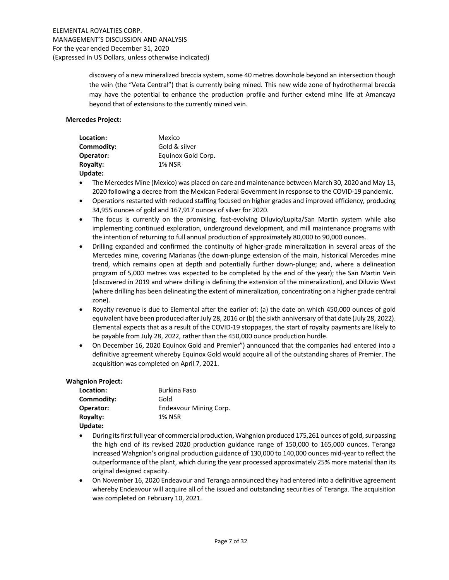discovery of a new mineralized breccia system, some 40 metres downhole beyond an intersection though the vein (the "Veta Central") that is currently being mined. This new wide zone of hydrothermal breccia may have the potential to enhance the production profile and further extend mine life at Amancaya beyond that of extensions to the currently mined vein.

### Mercedes Project:

| Location:       | Mexico             |
|-----------------|--------------------|
| Commodity:      | Gold & silver      |
| Operator:       | Equinox Gold Corp. |
| <b>Royalty:</b> | <b>1% NSR</b>      |
| Update:         |                    |

- The Mercedes Mine (Mexico) was placed on care and maintenance between March 30, 2020 and May 13, 2020 following a decree from the Mexican Federal Government in response to the COVID-19 pandemic.
- Operations restarted with reduced staffing focused on higher grades and improved efficiency, producing 34,955 ounces of gold and 167,917 ounces of silver for 2020.
- The focus is currently on the promising, fast-evolving Diluvio/Lupita/San Martin system while also implementing continued exploration, underground development, and mill maintenance programs with the intention of returning to full annual production of approximately 80,000 to 90,000 ounces.
- Drilling expanded and confirmed the continuity of higher-grade mineralization in several areas of the Mercedes mine, covering Marianas (the down-plunge extension of the main, historical Mercedes mine trend, which remains open at depth and potentially further down-plunge; and, where a delineation program of 5,000 metres was expected to be completed by the end of the year); the San Martin Vein (discovered in 2019 and where drilling is defining the extension of the mineralization), and Diluvio West (where drilling has been delineating the extent of mineralization, concentrating on a higher grade central zone).
- Royalty revenue is due to Elemental after the earlier of: (a) the date on which 450,000 ounces of gold equivalent have been produced after July 28, 2016 or (b) the sixth anniversary of that date (July 28, 2022). Elemental expects that as a result of the COVID-19 stoppages, the start of royalty payments are likely to be payable from July 28, 2022, rather than the 450,000 ounce production hurdle.
- On December 16, 2020 Equinox Gold and Premier") announced that the companies had entered into a definitive agreement whereby Equinox Gold would acquire all of the outstanding shares of Premier. The acquisition was completed on April 7, 2021.

#### Wahgnion Project:

| Location:       | Burkina Faso                  |
|-----------------|-------------------------------|
| Commodity:      | Gold                          |
| Operator:       | <b>Endeavour Mining Corp.</b> |
| <b>Royalty:</b> | <b>1% NSR</b>                 |
|                 |                               |

- Update:
- During its first full year of commercial production, Wahgnion produced 175,261 ounces of gold, surpassing the high end of its revised 2020 production guidance range of 150,000 to 165,000 ounces. Teranga increased Wahgnion's original production guidance of 130,000 to 140,000 ounces mid-year to reflect the outperformance of the plant, which during the year processed approximately 25% more material than its original designed capacity.
- On November 16, 2020 Endeavour and Teranga announced they had entered into a definitive agreement whereby Endeavour will acquire all of the issued and outstanding securities of Teranga. The acquisition was completed on February 10, 2021.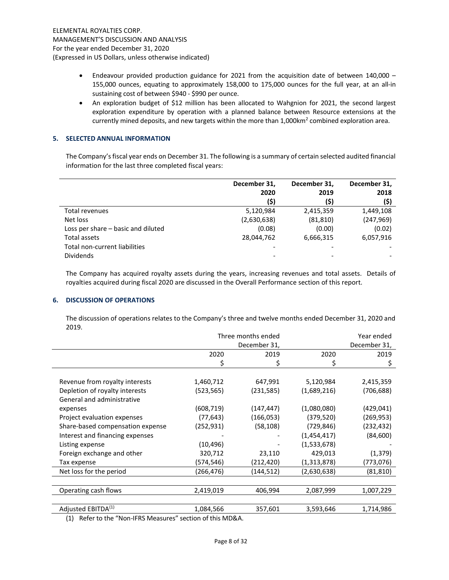- Endeavour provided production guidance for 2021 from the acquisition date of between 140,000 155,000 ounces, equating to approximately 158,000 to 175,000 ounces for the full year, at an all-in sustaining cost of between \$940 - \$990 per ounce.
- An exploration budget of \$12 million has been allocated to Wahgnion for 2021, the second largest exploration expenditure by operation with a planned balance between Resource extensions at the currently mined deposits, and new targets within the more than  $1,000$ km<sup>2</sup> combined exploration area.

### 5. SELECTED ANNUAL INFORMATION

The Company's fiscal year ends on December 31. The following is a summary of certain selected audited financial information for the last three completed fiscal years:

|                                    | December 31,<br>2020<br>(\$) | December 31,<br>2019<br>(\$) | December 31,<br>2018<br>(5) |
|------------------------------------|------------------------------|------------------------------|-----------------------------|
| Total revenues                     | 5,120,984                    | 2,415,359                    | 1,449,108                   |
| Net loss                           | (2,630,638)                  | (81, 810)                    | (247, 969)                  |
| Loss per share - basic and diluted | (0.08)                       | (0.00)                       | (0.02)                      |
| Total assets                       | 28,044,762                   | 6,666,315                    | 6,057,916                   |
| Total non-current liabilities      |                              |                              |                             |
| <b>Dividends</b>                   |                              |                              |                             |

The Company has acquired royalty assets during the years, increasing revenues and total assets. Details of royalties acquired during fiscal 2020 are discussed in the Overall Performance section of this report.

#### 6. DISCUSSION OF OPERATIONS

The discussion of operations relates to the Company's three and twelve months ended December 31, 2020 and 2019.

|                                  | Three months ended |              |               |            |
|----------------------------------|--------------------|--------------|---------------|------------|
|                                  |                    | December 31, |               |            |
|                                  | 2020               | 2019         | 2020          | 2019       |
|                                  | \$                 | \$           | \$            | \$         |
|                                  |                    |              |               |            |
| Revenue from royalty interests   | 1,460,712          | 647,991      | 5,120,984     | 2,415,359  |
| Depletion of royalty interests   | (523, 565)         | (231, 585)   | (1,689,216)   | (706,688)  |
| General and administrative       |                    |              |               |            |
| expenses                         | (608,719)          | (147, 447)   | (1,080,080)   | (429,041)  |
| Project evaluation expenses      | (77, 643)          | (166, 053)   | (379, 520)    | (269, 953) |
| Share-based compensation expense | (252, 931)         | (58, 108)    | (729, 846)    | (232,432)  |
| Interest and financing expenses  |                    |              | (1,454,417)   | (84, 600)  |
| Listing expense                  | (10, 496)          |              | (1,533,678)   |            |
| Foreign exchange and other       | 320,712            | 23,110       | 429,013       | (1, 379)   |
| Tax expense                      | (574,546)          | (212,420)    | (1, 313, 878) | (773,076)  |
| Net loss for the period          | (266, 476)         | (144, 512)   | (2,630,638)   | (81, 810)  |
|                                  |                    |              |               |            |
| Operating cash flows             | 2,419,019          | 406,994      | 2,087,999     | 1,007,229  |
|                                  |                    |              |               |            |
| Adjusted EBITDA <sup>(1)</sup>   | 1,084,566          | 357,601      | 3,593,646     | 1,714,986  |

(1) Refer to the "Non-IFRS Measures" section of this MD&A.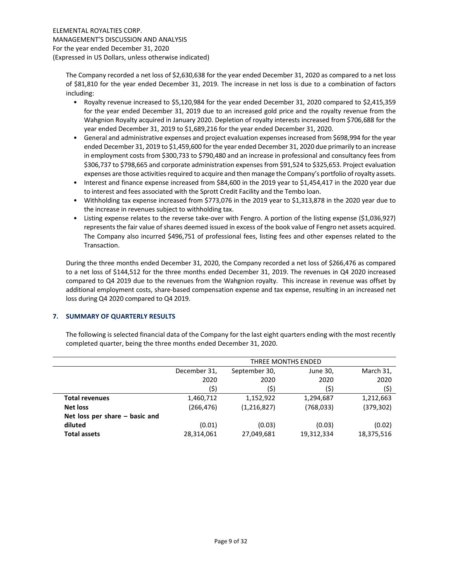The Company recorded a net loss of \$2,630,638 for the year ended December 31, 2020 as compared to a net loss of \$81,810 for the year ended December 31, 2019. The increase in net loss is due to a combination of factors including:

- Royalty revenue increased to \$5,120,984 for the year ended December 31, 2020 compared to \$2,415,359 for the year ended December 31, 2019 due to an increased gold price and the royalty revenue from the Wahgnion Royalty acquired in January 2020. Depletion of royalty interests increased from \$706,688 for the year ended December 31, 2019 to \$1,689,216 for the year ended December 31, 2020.
- General and administrative expenses and project evaluation expenses increased from \$698,994 for the year ended December 31, 2019 to \$1,459,600 for the year ended December 31, 2020 due primarily to an increase in employment costs from \$300,733 to \$790,480 and an increase in professional and consultancy fees from \$306,737 to \$798,665 and corporate administration expenses from \$91,524 to \$325,653. Project evaluation expenses are those activities required to acquire and then manage the Company's portfolio of royalty assets.
- Interest and finance expense increased from \$84,600 in the 2019 year to \$1,454,417 in the 2020 year due to interest and fees associated with the Sprott Credit Facility and the Tembo loan.
- Withholding tax expense increased from \$773,076 in the 2019 year to \$1,313,878 in the 2020 year due to the increase in revenues subject to withholding tax.
- Listing expense relates to the reverse take-over with Fengro. A portion of the listing expense (\$1,036,927) represents the fair value of shares deemed issued in excess of the book value of Fengro net assets acquired. The Company also incurred \$496,751 of professional fees, listing fees and other expenses related to the Transaction.

During the three months ended December 31, 2020, the Company recorded a net loss of \$266,476 as compared to a net loss of \$144,512 for the three months ended December 31, 2019. The revenues in Q4 2020 increased compared to Q4 2019 due to the revenues from the Wahgnion royalty. This increase in revenue was offset by additional employment costs, share-based compensation expense and tax expense, resulting in an increased net loss during Q4 2020 compared to Q4 2019.

# 7. SUMMARY OF QUARTERLY RESULTS

The following is selected financial data of the Company for the last eight quarters ending with the most recently completed quarter, being the three months ended December 31, 2020.

|                                  | THREE MONTHS ENDED |             |            |            |  |
|----------------------------------|--------------------|-------------|------------|------------|--|
|                                  |                    |             |            |            |  |
|                                  | December 31,       | March 31,   |            |            |  |
|                                  | 2020               | 2020        | 2020       | 2020       |  |
|                                  | (\$)               | (\$)        | (\$)       | (\$)       |  |
| <b>Total revenues</b>            | 1,460,712          | 1,152,922   | 1,294,687  | 1,212,663  |  |
| <b>Net loss</b>                  | (266, 476)         | (1,216,827) | (768, 033) | (379, 302) |  |
| Net loss per share $-$ basic and |                    |             |            |            |  |
| diluted                          | (0.01)             | (0.03)      | (0.03)     | (0.02)     |  |
| <b>Total assets</b>              | 28,314,061         | 27,049,681  | 19,312,334 | 18,375,516 |  |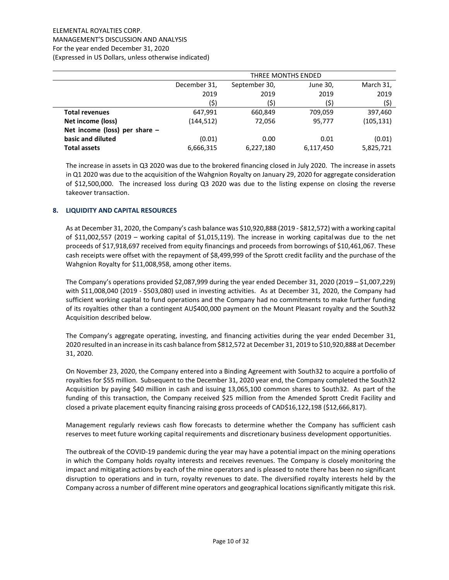# ELEMENTAL ROYALTIES CORP. MANAGEMENT'S DISCUSSION AND ANALYSIS For the year ended December 31, 2020 (Expressed in US Dollars, unless otherwise indicated)

|                                 |              | THREE MONTHS ENDED                     |           |            |  |
|---------------------------------|--------------|----------------------------------------|-----------|------------|--|
|                                 | December 31, | March 31,<br>September 30,<br>June 30, |           |            |  |
|                                 | 2019         | 2019                                   | 2019      | 2019       |  |
|                                 | (\$)         | (\$)                                   | (\$)      | (\$)       |  |
| <b>Total revenues</b>           | 647,991      | 660,849                                | 709,059   | 397,460    |  |
| Net income (loss)               | (144, 512)   | 72,056                                 | 95,777    | (105, 131) |  |
| Net income (loss) per share $-$ |              |                                        |           |            |  |
| basic and diluted               | (0.01)       | 0.00                                   | 0.01      | (0.01)     |  |
| <b>Total assets</b>             | 6,666,315    | 6,227,180                              | 6,117,450 | 5,825,721  |  |

The increase in assets in Q3 2020 was due to the brokered financing closed in July 2020. The increase in assets in Q1 2020 was due to the acquisition of the Wahgnion Royalty on January 29, 2020 for aggregate consideration of \$12,500,000. The increased loss during Q3 2020 was due to the listing expense on closing the reverse takeover transaction.

# 8. LIQUIDITY AND CAPITAL RESOURCES

As at December 31, 2020, the Company's cash balance was \$10,920,888 (2019 - \$812,572) with a working capital of \$11,002,557 (2019 – working capital of \$1,015,119). The increase in working capital was due to the net proceeds of \$17,918,697 received from equity financings and proceeds from borrowings of \$10,461,067. These cash receipts were offset with the repayment of \$8,499,999 of the Sprott credit facility and the purchase of the Wahgnion Royalty for \$11,008,958, among other items.

The Company's operations provided  $$2,087,999$  during the year ended December 31, 2020 (2019 –  $$1,007,229$ ) with \$11,008,040 (2019 - \$503,080) used in investing activities. As at December 31, 2020, the Company had sufficient working capital to fund operations and the Company had no commitments to make further funding of its royalties other than a contingent AU\$400,000 payment on the Mount Pleasant royalty and the South32 Acquisition described below.

The Company's aggregate operating, investing, and financing activities during the year ended December 31, 2020 resulted in an increase in its cash balance from \$812,572 at December 31, 2019 to \$10,920,888 at December 31, 2020.

On November 23, 2020, the Company entered into a Binding Agreement with South32 to acquire a portfolio of royalties for \$55 million. Subsequent to the December 31, 2020 year end, the Company completed the South32 Acquisition by paying \$40 million in cash and issuing 13,065,100 common shares to South32. As part of the funding of this transaction, the Company received \$25 million from the Amended Sprott Credit Facility and closed a private placement equity financing raising gross proceeds of CAD\$16,122,198 (\$12,666,817).

Management regularly reviews cash flow forecasts to determine whether the Company has sufficient cash reserves to meet future working capital requirements and discretionary business development opportunities.

The outbreak of the COVID-19 pandemic during the year may have a potential impact on the mining operations in which the Company holds royalty interests and receives revenues. The Company is closely monitoring the impact and mitigating actions by each of the mine operators and is pleased to note there has been no significant disruption to operations and in turn, royalty revenues to date. The diversified royalty interests held by the Company across a number of different mine operators and geographical locations significantly mitigate this risk.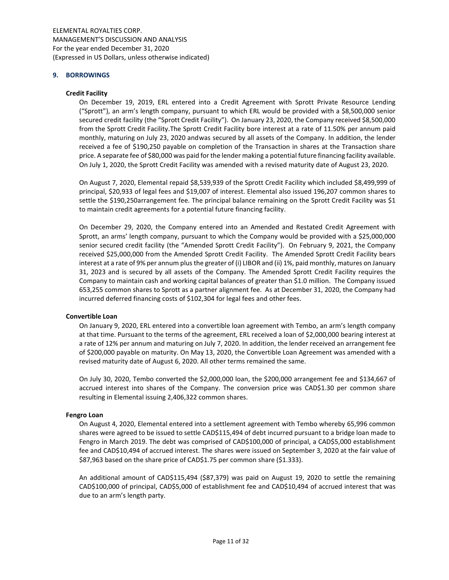#### 9. BORROWINGS

### Credit Facility

On December 19, 2019, ERL entered into a Credit Agreement with Sprott Private Resource Lending ("Sprott"), an arm's length company, pursuant to which ERL would be provided with a \$8,500,000 senior secured credit facility (the "Sprott Credit Facility"). On January 23, 2020, the Company received \$8,500,000 from the Sprott Credit Facility. The Sprott Credit Facility bore interest at a rate of 11.50% per annum paid monthly, maturing on July 23, 2020 and was secured by all assets of the Company. In addition, the lender received a fee of \$190,250 payable on completion of the Transaction in shares at the Transaction share price. A separate fee of \$80,000 was paid for the lender making a potential future financing facility available. On July 1, 2020, the Sprott Credit Facility was amended with a revised maturity date of August 23, 2020.

On August 7, 2020, Elemental repaid \$8,539,939 of the Sprott Credit Facility which included \$8,499,999 of principal, \$20,933 of legal fees and \$19,007 of interest. Elemental also issued 196,207 common shares to settle the \$190,250 arrangement fee. The principal balance remaining on the Sprott Credit Facility was \$1 to maintain credit agreements for a potential future financing facility.

On December 29, 2020, the Company entered into an Amended and Restated Credit Agreement with Sprott, an arms' length company, pursuant to which the Company would be provided with a \$25,000,000 senior secured credit facility (the "Amended Sprott Credit Facility"). On February 9, 2021, the Company received \$25,000,000 from the Amended Sprott Credit Facility. The Amended Sprott Credit Facility bears interest at a rate of 9% per annum plus the greater of (i) LIBOR and (ii) 1%, paid monthly, matures on January 31, 2023 and is secured by all assets of the Company. The Amended Sprott Credit Facility requires the Company to maintain cash and working capital balances of greater than \$1.0 million. The Company issued 653,255 common shares to Sprott as a partner alignment fee. As at December 31, 2020, the Company had incurred deferred financing costs of \$102,304 for legal fees and other fees.

#### Convertible Loan

On January 9, 2020, ERL entered into a convertible loan agreement with Tembo, an arm's length company at that time. Pursuant to the terms of the agreement, ERL received a loan of \$2,000,000 bearing interest at a rate of 12% per annum and maturing on July 7, 2020. In addition, the lender received an arrangement fee of \$200,000 payable on maturity. On May 13, 2020, the Convertible Loan Agreement was amended with a revised maturity date of August 6, 2020. All other terms remained the same.

On July 30, 2020, Tembo converted the \$2,000,000 loan, the \$200,000 arrangement fee and \$134,667 of accrued interest into shares of the Company. The conversion price was CAD\$1.30 per common share resulting in Elemental issuing 2,406,322 common shares.

#### Fengro Loan

On August 4, 2020, Elemental entered into a settlement agreement with Tembo whereby 65,996 common shares were agreed to be issued to settle CAD\$115,494 of debt incurred pursuant to a bridge loan made to Fengro in March 2019. The debt was comprised of CAD\$100,000 of principal, a CAD\$5,000 establishment fee and CAD\$10,494 of accrued interest. The shares were issued on September 3, 2020 at the fair value of \$87,963 based on the share price of CAD\$1.75 per common share (\$1.333).

An additional amount of CAD\$115,494 (\$87,379) was paid on August 19, 2020 to settle the remaining CAD\$100,000 of principal, CAD\$5,000 of establishment fee and CAD\$10,494 of accrued interest that was due to an arm's length party.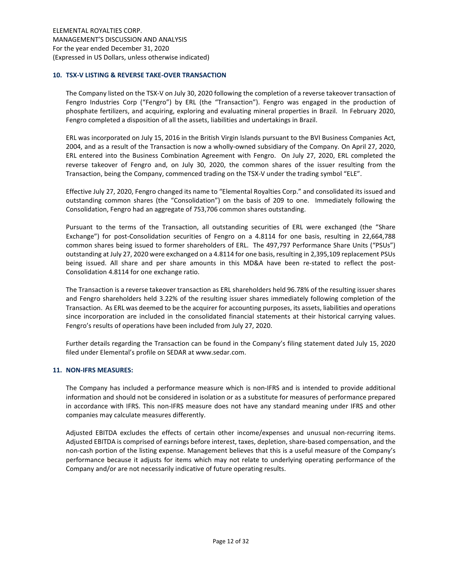### 10. TSX-V LISTING & REVERSE TAKE-OVER TRANSACTION

The Company listed on the TSX-V on July 30, 2020 following the completion of a reverse takeover transaction of Fengro Industries Corp ("Fengro") by ERL (the "Transaction"). Fengro was engaged in the production of phosphate fertilizers, and acquiring, exploring and evaluating mineral properties in Brazil. In February 2020, Fengro completed a disposition of all the assets, liabilities and undertakings in Brazil.

ERL was incorporated on July 15, 2016 in the British Virgin Islands pursuant to the BVI Business Companies Act, 2004, and as a result of the Transaction is now a wholly-owned subsidiary of the Company. On April 27, 2020, ERL entered into the Business Combination Agreement with Fengro. On July 27, 2020, ERL completed the reverse takeover of Fengro and, on July 30, 2020, the common shares of the issuer resulting from the Transaction, being the Company, commenced trading on the TSX-V under the trading symbol "ELE".

Effective July 27, 2020, Fengro changed its name to "Elemental Royalties Corp." and consolidated its issued and outstanding common shares (the "Consolidation") on the basis of 209 to one. Immediately following the Consolidation, Fengro had an aggregate of 753,706 common shares outstanding.

Pursuant to the terms of the Transaction, all outstanding securities of ERL were exchanged (the "Share Exchange") for post-Consolidation securities of Fengro on a 4.8114 for one basis, resulting in 22,664,788 common shares being issued to former shareholders of ERL. The 497,797 Performance Share Units ("PSUs") outstanding at July 27, 2020 were exchanged on a 4.8114 for one basis, resulting in 2,395,109 replacement PSUs being issued. All share and per share amounts in this MD&A have been re-stated to reflect the post-Consolidation 4.8114 for one exchange ratio.

The Transaction is a reverse takeover transaction as ERL shareholders held 96.78% of the resulting issuer shares and Fengro shareholders held 3.22% of the resulting issuer shares immediately following completion of the Transaction. As ERL was deemed to be the acquirer for accounting purposes, its assets, liabilities and operations since incorporation are included in the consolidated financial statements at their historical carrying values. Fengro's results of operations have been included from July 27, 2020.

Further details regarding the Transaction can be found in the Company's filing statement dated July 15, 2020 filed under Elemental's profile on SEDAR at www.sedar.com.

#### 11. NON-IFRS MEASURES:

The Company has included a performance measure which is non-IFRS and is intended to provide additional information and should not be considered in isolation or as a substitute for measures of performance prepared in accordance with IFRS. This non-IFRS measure does not have any standard meaning under IFRS and other companies may calculate measures differently.

Adjusted EBITDA excludes the effects of certain other income/expenses and unusual non-recurring items. Adjusted EBITDA is comprised of earnings before interest, taxes, depletion, share-based compensation, and the non-cash portion of the listing expense. Management believes that this is a useful measure of the Company's performance because it adjusts for items which may not relate to underlying operating performance of the Company and/or are not necessarily indicative of future operating results.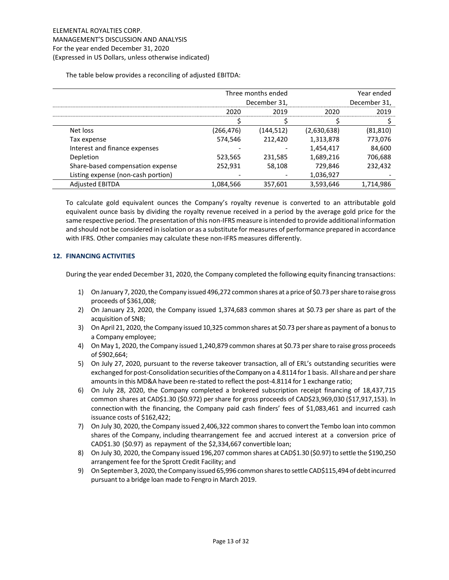The table below provides a reconciling of adjusted EBITDA:

|                                    | Three months ended |              |             | Year ended   |
|------------------------------------|--------------------|--------------|-------------|--------------|
|                                    |                    | December 31, |             | December 31, |
|                                    | 2020               | 2019         | 2020        | 2019         |
|                                    |                    |              |             |              |
| Net loss                           | (266,476)          | (144,512)    | (2,630,638) | (81, 810)    |
| Tax expense                        | 574,546            | 212,420      | 1,313,878   | 773,076      |
| Interest and finance expenses      |                    |              | 1,454,417   | 84,600       |
| Depletion                          | 523,565            | 231,585      | 1,689,216   | 706,688      |
| Share-based compensation expense   | 252,931            | 58,108       | 729,846     | 232,432      |
| Listing expense (non-cash portion) |                    |              | 1,036,927   |              |
| <b>Adjusted EBITDA</b>             | 1,084,566          | 357,601      | 3,593,646   | 1,714,986    |

To calculate gold equivalent ounces the Company's royalty revenue is converted to an attributable gold equivalent ounce basis by dividing the royalty revenue received in a period by the average gold price for the same respective period. The presentation of this non-IFRS measure is intended to provide additional information and should not be considered in isolation or as a substitute for measures of performance prepared in accordance with IFRS. Other companies may calculate these non-IFRS measures differently.

# 12. FINANCING ACTIVITIES

During the year ended December 31, 2020, the Company completed the following equity financing transactions:

- 1) On January 7, 2020, the Company issued 496,272 common shares at a price of \$0.73 per share to raise gross proceeds of \$361,008;
- 2) On January 23, 2020, the Company issued 1,374,683 common shares at \$0.73 per share as part of the acquisition of SNB;
- 3) On April 21, 2020, the Company issued 10,325 common shares at \$0.73 per share as payment of a bonus to a Company employee;
- 4) On May 1, 2020, the Company issued 1,240,879 common shares at \$0.73 per share to raise gross proceeds of \$902,664;
- 5) On July 27, 2020, pursuant to the reverse takeover transaction, all of ERL's outstanding securities were exchanged for post-Consolidation securities of the Company on a 4.8114 for 1 basis. All share and per share amounts in this MD&A have been re-stated to reflect the post-4.8114 for 1 exchange ratio;
- 6) On July 28, 2020, the Company completed a brokered subscription receipt financing of 18,437,715 common shares at CAD\$1.30 (\$0.972) per share for gross proceeds of CAD\$23,969,030 (\$17,917,153). In connection with the financing, the Company paid cash finders' fees of \$1,083,461 and incurred cash issuance costs of \$162,422;
- 7) On July 30, 2020, the Company issued 2,406,322 common shares to convert the Tembo loan into common shares of the Company, including the arrangement fee and accrued interest at a conversion price of CAD\$1.30 (\$0.97) as repayment of the \$2,334,667 convertible loan;
- 8) On July 30, 2020, the Company issued 196,207 common shares at CAD\$1.30 (\$0.97) to settle the \$190,250 arrangement fee for the Sprott Credit Facility; and
- 9) On September 3, 2020, the Company issued 65,996 common shares to settle CAD\$115,494 of debt incurred pursuant to a bridge loan made to Fengro in March 2019.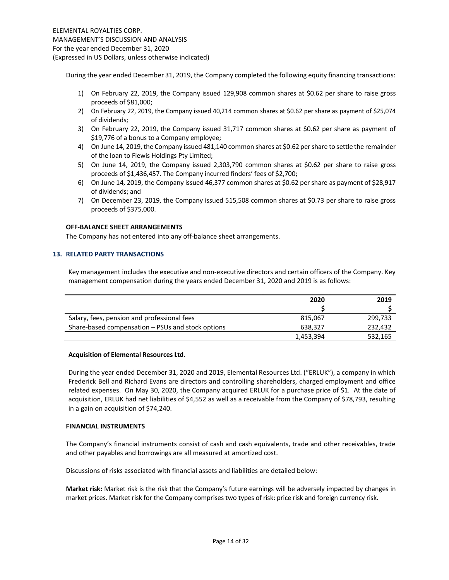During the year ended December 31, 2019, the Company completed the following equity financing transactions:

- 1) On February 22, 2019, the Company issued 129,908 common shares at \$0.62 per share to raise gross proceeds of \$81,000;
- 2) On February 22, 2019, the Company issued 40,214 common shares at \$0.62 per share as payment of \$25,074 of dividends;
- 3) On February 22, 2019, the Company issued 31,717 common shares at \$0.62 per share as payment of \$19,776 of a bonus to a Company employee;
- 4) On June 14, 2019, the Company issued 481,140 common shares at \$0.62 per share to settle the remainder of the loan to Flewis Holdings Pty Limited;
- 5) On June 14, 2019, the Company issued 2,303,790 common shares at \$0.62 per share to raise gross proceeds of \$1,436,457. The Company incurred finders' fees of \$2,700;
- 6) On June 14, 2019, the Company issued 46,377 common shares at \$0.62 per share as payment of \$28,917 of dividends; and
- 7) On December 23, 2019, the Company issued 515,508 common shares at \$0.73 per share to raise gross proceeds of \$375,000.

### OFF-BALANCE SHEET ARRANGEMENTS

The Company has not entered into any off-balance sheet arrangements.

# 13. RELATED PARTY TRANSACTIONS

Key management includes the executive and non-executive directors and certain officers of the Company. Key management compensation during the years ended December 31, 2020 and 2019 is as follows:

|                                                   | 2020      | 2019    |
|---------------------------------------------------|-----------|---------|
|                                                   |           |         |
| Salary, fees, pension and professional fees       | 815.067   | 299,733 |
| Share-based compensation – PSUs and stock options | 638.327   | 232,432 |
|                                                   | 1,453,394 | 532,165 |

#### Acquisition of Elemental Resources Ltd.

During the year ended December 31, 2020 and 2019, Elemental Resources Ltd. ("ERLUK"), a company in which Frederick Bell and Richard Evans are directors and controlling shareholders, charged employment and office related expenses. On May 30, 2020, the Company acquired ERLUK for a purchase price of \$1. At the date of acquisition, ERLUK had net liabilities of \$4,552 as well as a receivable from the Company of \$78,793, resulting in a gain on acquisition of \$74,240.

#### FINANCIAL INSTRUMENTS

The Company's financial instruments consist of cash and cash equivalents, trade and other receivables, trade and other payables and borrowings are all measured at amortized cost.

Discussions of risks associated with financial assets and liabilities are detailed below:

Market risk: Market risk is the risk that the Company's future earnings will be adversely impacted by changes in market prices. Market risk for the Company comprises two types of risk: price risk and foreign currency risk.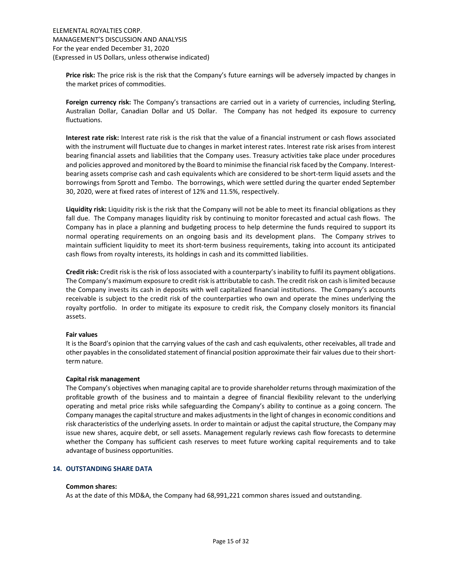Price risk: The price risk is the risk that the Company's future earnings will be adversely impacted by changes in the market prices of commodities.

Foreign currency risk: The Company's transactions are carried out in a variety of currencies, including Sterling, Australian Dollar, Canadian Dollar and US Dollar. The Company has not hedged its exposure to currency fluctuations.

Interest rate risk: Interest rate risk is the risk that the value of a financial instrument or cash flows associated with the instrument will fluctuate due to changes in market interest rates. Interest rate risk arises from interest bearing financial assets and liabilities that the Company uses. Treasury activities take place under procedures and policies approved and monitored by the Board to minimise the financial risk faced by the Company. Interestbearing assets comprise cash and cash equivalents which are considered to be short-term liquid assets and the borrowings from Sprott and Tembo. The borrowings, which were settled during the quarter ended September 30, 2020, were at fixed rates of interest of 12% and 11.5%, respectively.

Liquidity risk: Liquidity risk is the risk that the Company will not be able to meet its financial obligations as they fall due. The Company manages liquidity risk by continuing to monitor forecasted and actual cash flows. The Company has in place a planning and budgeting process to help determine the funds required to support its normal operating requirements on an ongoing basis and its development plans. The Company strives to maintain sufficient liquidity to meet its short-term business requirements, taking into account its anticipated cash flows from royalty interests, its holdings in cash and its committed liabilities.

Credit risk: Credit risk is the risk of loss associated with a counterparty's inability to fulfil its payment obligations. The Company's maximum exposure to credit risk is attributable to cash. The credit risk on cash is limited because the Company invests its cash in deposits with well capitalized financial institutions. The Company's accounts receivable is subject to the credit risk of the counterparties who own and operate the mines underlying the royalty portfolio. In order to mitigate its exposure to credit risk, the Company closely monitors its financial assets.

# Fair values

It is the Board's opinion that the carrying values of the cash and cash equivalents, other receivables, all trade and other payables in the consolidated statement of financial position approximate their fair values due to their shortterm nature.

# Capital risk management

The Company's objectives when managing capital are to provide shareholder returns through maximization of the profitable growth of the business and to maintain a degree of financial flexibility relevant to the underlying operating and metal price risks while safeguarding the Company's ability to continue as a going concern. The Company manages the capital structure and makes adjustments in the light of changes in economic conditions and risk characteristics of the underlying assets. In order to maintain or adjust the capital structure, the Company may issue new shares, acquire debt, or sell assets. Management regularly reviews cash flow forecasts to determine whether the Company has sufficient cash reserves to meet future working capital requirements and to take advantage of business opportunities.

# 14. OUTSTANDING SHARE DATA

#### Common shares:

As at the date of this MD&A, the Company had 68,991,221 common shares issued and outstanding.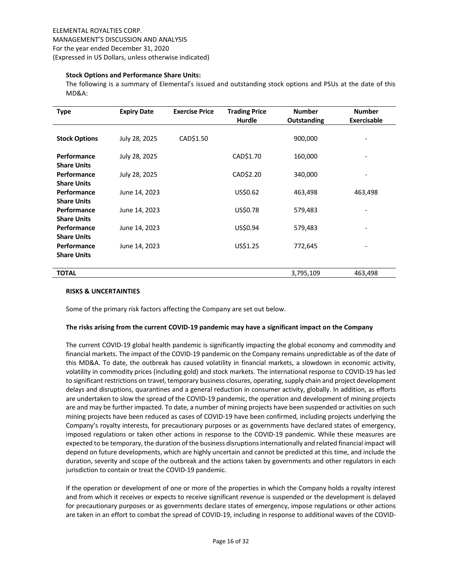### Stock Options and Performance Share Units:

The following is a summary of Elemental's issued and outstanding stock options and PSUs at the date of this MD&A:

| <b>Type</b>                       | <b>Expiry Date</b> | <b>Exercise Price</b> | <b>Trading Price</b><br>Hurdle | <b>Number</b><br>Outstanding | <b>Number</b><br><b>Exercisable</b> |
|-----------------------------------|--------------------|-----------------------|--------------------------------|------------------------------|-------------------------------------|
| <b>Stock Options</b>              | July 28, 2025      | CAD\$1.50             |                                | 900,000                      |                                     |
| Performance<br><b>Share Units</b> | July 28, 2025      |                       | CAD\$1.70                      | 160,000                      |                                     |
| Performance<br><b>Share Units</b> | July 28, 2025      |                       | CAD\$2.20                      | 340,000                      |                                     |
| Performance<br><b>Share Units</b> | June 14, 2023      |                       | US\$0.62                       | 463,498                      | 463,498                             |
| Performance<br><b>Share Units</b> | June 14, 2023      |                       | US\$0.78                       | 579,483                      |                                     |
| Performance<br><b>Share Units</b> | June 14, 2023      |                       | US\$0.94                       | 579,483                      |                                     |
| Performance<br><b>Share Units</b> | June 14, 2023      |                       | US\$1.25                       | 772,645                      |                                     |
| <b>TOTAL</b>                      |                    |                       |                                | 3,795,109                    | 463,498                             |

#### RISKS & UNCERTAINTIES

Some of the primary risk factors affecting the Company are set out below.

#### The risks arising from the current COVID-19 pandemic may have a significant impact on the Company

The current COVID-19 global health pandemic is significantly impacting the global economy and commodity and financial markets. The impact of the COVID-19 pandemic on the Company remains unpredictable as of the date of this MD&A. To date, the outbreak has caused volatility in financial markets, a slowdown in economic activity, volatility in commodity prices (including gold) and stock markets. The international response to COVID-19 has led to significant restrictions on travel, temporary business closures, operating, supply chain and project development delays and disruptions, quarantines and a general reduction in consumer activity, globally. In addition, as efforts are undertaken to slow the spread of the COVID-19 pandemic, the operation and development of mining projects are and may be further impacted. To date, a number of mining projects have been suspended or activities on such mining projects have been reduced as cases of COVID-19 have been confirmed, including projects underlying the Company's royalty interests, for precautionary purposes or as governments have declared states of emergency, imposed regulations or taken other actions in response to the COVID-19 pandemic. While these measures are expected to be temporary, the duration of the business disruptions internationally and related financial impact will depend on future developments, which are highly uncertain and cannot be predicted at this time, and include the duration, severity and scope of the outbreak and the actions taken by governments and other regulators in each jurisdiction to contain or treat the COVID-19 pandemic.

If the operation or development of one or more of the properties in which the Company holds a royalty interest and from which it receives or expects to receive significant revenue is suspended or the development is delayed for precautionary purposes or as governments declare states of emergency, impose regulations or other actions are taken in an effort to combat the spread of COVID-19, including in response to additional waves of the COVID-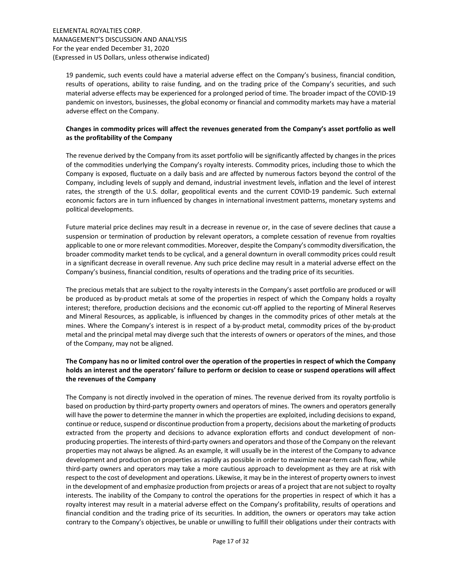19 pandemic, such events could have a material adverse effect on the Company's business, financial condition, results of operations, ability to raise funding, and on the trading price of the Company's securities, and such material adverse effects may be experienced for a prolonged period of time. The broader impact of the COVID-19 pandemic on investors, businesses, the global economy or financial and commodity markets may have a material adverse effect on the Company.

# Changes in commodity prices will affect the revenues generated from the Company's asset portfolio as well as the profitability of the Company

The revenue derived by the Company from its asset portfolio will be significantly affected by changes in the prices of the commodities underlying the Company's royalty interests. Commodity prices, including those to which the Company is exposed, fluctuate on a daily basis and are affected by numerous factors beyond the control of the Company, including levels of supply and demand, industrial investment levels, inflation and the level of interest rates, the strength of the U.S. dollar, geopolitical events and the current COVID-19 pandemic. Such external economic factors are in turn influenced by changes in international investment patterns, monetary systems and political developments.

Future material price declines may result in a decrease in revenue or, in the case of severe declines that cause a suspension or termination of production by relevant operators, a complete cessation of revenue from royalties applicable to one or more relevant commodities. Moreover, despite the Company's commodity diversification, the broader commodity market tends to be cyclical, and a general downturn in overall commodity prices could result in a significant decrease in overall revenue. Any such price decline may result in a material adverse effect on the Company's business, financial condition, results of operations and the trading price of its securities.

The precious metals that are subject to the royalty interests in the Company's asset portfolio are produced or will be produced as by-product metals at some of the properties in respect of which the Company holds a royalty interest; therefore, production decisions and the economic cut-off applied to the reporting of Mineral Reserves and Mineral Resources, as applicable, is influenced by changes in the commodity prices of other metals at the mines. Where the Company's interest is in respect of a by-product metal, commodity prices of the by-product metal and the principal metal may diverge such that the interests of owners or operators of the mines, and those of the Company, may not be aligned.

# The Company has no or limited control over the operation of the properties in respect of which the Company holds an interest and the operators' failure to perform or decision to cease or suspend operations will affect the revenues of the Company

The Company is not directly involved in the operation of mines. The revenue derived from its royalty portfolio is based on production by third-party property owners and operators of mines. The owners and operators generally will have the power to determine the manner in which the properties are exploited, including decisions to expand, continue or reduce, suspend or discontinue production from a property, decisions about the marketing of products extracted from the property and decisions to advance exploration efforts and conduct development of nonproducing properties. The interests of third-party owners and operators and those of the Company on the relevant properties may not always be aligned. As an example, it will usually be in the interest of the Company to advance development and production on properties as rapidly as possible in order to maximize near-term cash flow, while third-party owners and operators may take a more cautious approach to development as they are at risk with respect to the cost of development and operations. Likewise, it may be in the interest of property owners to invest in the development of and emphasize production from projects or areas of a project that are not subject to royalty interests. The inability of the Company to control the operations for the properties in respect of which it has a royalty interest may result in a material adverse effect on the Company's profitability, results of operations and financial condition and the trading price of its securities. In addition, the owners or operators may take action contrary to the Company's objectives, be unable or unwilling to fulfill their obligations under their contracts with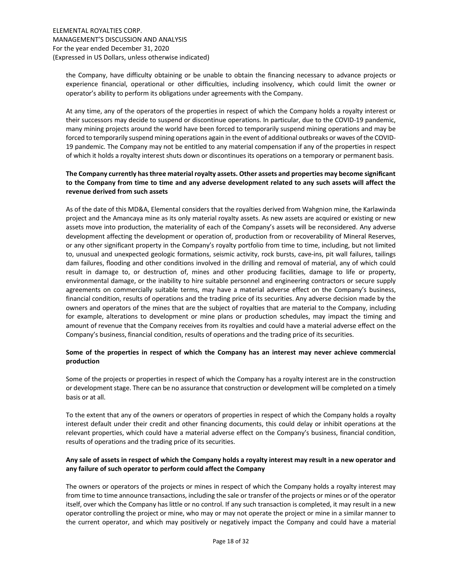the Company, have difficulty obtaining or be unable to obtain the financing necessary to advance projects or experience financial, operational or other difficulties, including insolvency, which could limit the owner or operator's ability to perform its obligations under agreements with the Company.

At any time, any of the operators of the properties in respect of which the Company holds a royalty interest or their successors may decide to suspend or discontinue operations. In particular, due to the COVID-19 pandemic, many mining projects around the world have been forced to temporarily suspend mining operations and may be forced to temporarily suspend mining operations again in the event of additional outbreaks or waves of the COVID-19 pandemic. The Company may not be entitled to any material compensation if any of the properties in respect of which it holds a royalty interest shuts down or discontinues its operations on a temporary or permanent basis.

# The Company currently has three material royalty assets. Other assets and properties may become significant to the Company from time to time and any adverse development related to any such assets will affect the revenue derived from such assets

As of the date of this MD&A, Elemental considers that the royalties derived from Wahgnion mine, the Karlawinda project and the Amancaya mine as its only material royalty assets. As new assets are acquired or existing or new assets move into production, the materiality of each of the Company's assets will be reconsidered. Any adverse development affecting the development or operation of, production from or recoverability of Mineral Reserves, or any other significant property in the Company's royalty portfolio from time to time, including, but not limited to, unusual and unexpected geologic formations, seismic activity, rock bursts, cave-ins, pit wall failures, tailings dam failures, flooding and other conditions involved in the drilling and removal of material, any of which could result in damage to, or destruction of, mines and other producing facilities, damage to life or property, environmental damage, or the inability to hire suitable personnel and engineering contractors or secure supply agreements on commercially suitable terms, may have a material adverse effect on the Company's business, financial condition, results of operations and the trading price of its securities. Any adverse decision made by the owners and operators of the mines that are the subject of royalties that are material to the Company, including for example, alterations to development or mine plans or production schedules, may impact the timing and amount of revenue that the Company receives from its royalties and could have a material adverse effect on the Company's business, financial condition, results of operations and the trading price of its securities.

# Some of the properties in respect of which the Company has an interest may never achieve commercial production

Some of the projects or properties in respect of which the Company has a royalty interest are in the construction or development stage. There can be no assurance that construction or development will be completed on a timely basis or at all.

To the extent that any of the owners or operators of properties in respect of which the Company holds a royalty interest default under their credit and other financing documents, this could delay or inhibit operations at the relevant properties, which could have a material adverse effect on the Company's business, financial condition, results of operations and the trading price of its securities.

# Any sale of assets in respect of which the Company holds a royalty interest may result in a new operator and any failure of such operator to perform could affect the Company

The owners or operators of the projects or mines in respect of which the Company holds a royalty interest may from time to time announce transactions, including the sale or transfer of the projects or mines or of the operator itself, over which the Company has little or no control. If any such transaction is completed, it may result in a new operator controlling the project or mine, who may or may not operate the project or mine in a similar manner to the current operator, and which may positively or negatively impact the Company and could have a material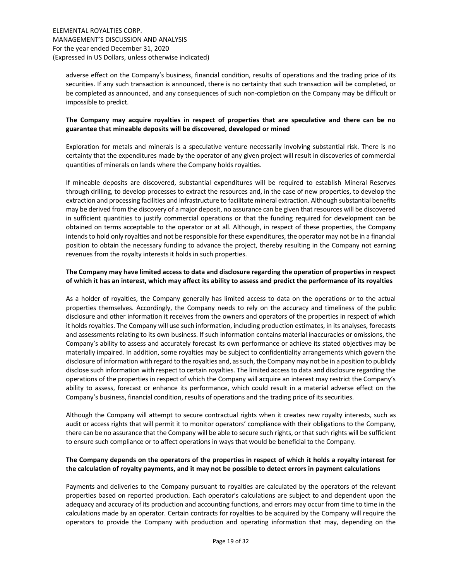adverse effect on the Company's business, financial condition, results of operations and the trading price of its securities. If any such transaction is announced, there is no certainty that such transaction will be completed, or be completed as announced, and any consequences of such non-completion on the Company may be difficult or impossible to predict.

# The Company may acquire royalties in respect of properties that are speculative and there can be no guarantee that mineable deposits will be discovered, developed or mined

Exploration for metals and minerals is a speculative venture necessarily involving substantial risk. There is no certainty that the expenditures made by the operator of any given project will result in discoveries of commercial quantities of minerals on lands where the Company holds royalties.

If mineable deposits are discovered, substantial expenditures will be required to establish Mineral Reserves through drilling, to develop processes to extract the resources and, in the case of new properties, to develop the extraction and processing facilities and infrastructure to facilitate mineral extraction. Although substantial benefits may be derived from the discovery of a major deposit, no assurance can be given that resources will be discovered in sufficient quantities to justify commercial operations or that the funding required for development can be obtained on terms acceptable to the operator or at all. Although, in respect of these properties, the Company intends to hold only royalties and not be responsible for these expenditures, the operator may not be in a financial position to obtain the necessary funding to advance the project, thereby resulting in the Company not earning revenues from the royalty interests it holds in such properties.

# The Company may have limited access to data and disclosure regarding the operation of properties in respect of which it has an interest, which may affect its ability to assess and predict the performance of its royalties

As a holder of royalties, the Company generally has limited access to data on the operations or to the actual properties themselves. Accordingly, the Company needs to rely on the accuracy and timeliness of the public disclosure and other information it receives from the owners and operators of the properties in respect of which it holds royalties. The Company will use such information, including production estimates, in its analyses, forecasts and assessments relating to its own business. If such information contains material inaccuracies or omissions, the Company's ability to assess and accurately forecast its own performance or achieve its stated objectives may be materially impaired. In addition, some royalties may be subject to confidentiality arrangements which govern the disclosure of information with regard to the royalties and, as such, the Company may not be in a position to publicly disclose such information with respect to certain royalties. The limited access to data and disclosure regarding the operations of the properties in respect of which the Company will acquire an interest may restrict the Company's ability to assess, forecast or enhance its performance, which could result in a material adverse effect on the Company's business, financial condition, results of operations and the trading price of its securities.

Although the Company will attempt to secure contractual rights when it creates new royalty interests, such as audit or access rights that will permit it to monitor operators' compliance with their obligations to the Company, there can be no assurance that the Company will be able to secure such rights, or that such rights will be sufficient to ensure such compliance or to affect operations in ways that would be beneficial to the Company.

# The Company depends on the operators of the properties in respect of which it holds a royalty interest for the calculation of royalty payments, and it may not be possible to detect errors in payment calculations

Payments and deliveries to the Company pursuant to royalties are calculated by the operators of the relevant properties based on reported production. Each operator's calculations are subject to and dependent upon the adequacy and accuracy of its production and accounting functions, and errors may occur from time to time in the calculations made by an operator. Certain contracts for royalties to be acquired by the Company will require the operators to provide the Company with production and operating information that may, depending on the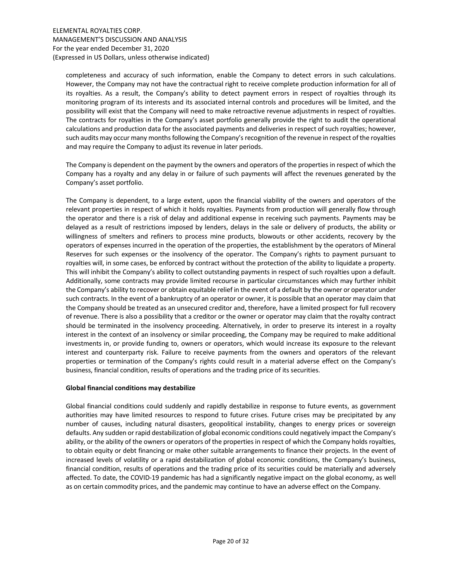completeness and accuracy of such information, enable the Company to detect errors in such calculations. However, the Company may not have the contractual right to receive complete production information for all of its royalties. As a result, the Company's ability to detect payment errors in respect of royalties through its monitoring program of its interests and its associated internal controls and procedures will be limited, and the possibility will exist that the Company will need to make retroactive revenue adjustments in respect of royalties. The contracts for royalties in the Company's asset portfolio generally provide the right to audit the operational calculations and production data for the associated payments and deliveries in respect of such royalties; however, such audits may occur many months following the Company's recognition of the revenue in respect of the royalties and may require the Company to adjust its revenue in later periods.

The Company is dependent on the payment by the owners and operators of the properties in respect of which the Company has a royalty and any delay in or failure of such payments will affect the revenues generated by the Company's asset portfolio.

The Company is dependent, to a large extent, upon the financial viability of the owners and operators of the relevant properties in respect of which it holds royalties. Payments from production will generally flow through the operator and there is a risk of delay and additional expense in receiving such payments. Payments may be delayed as a result of restrictions imposed by lenders, delays in the sale or delivery of products, the ability or willingness of smelters and refiners to process mine products, blowouts or other accidents, recovery by the operators of expenses incurred in the operation of the properties, the establishment by the operators of Mineral Reserves for such expenses or the insolvency of the operator. The Company's rights to payment pursuant to royalties will, in some cases, be enforced by contract without the protection of the ability to liquidate a property. This will inhibit the Company's ability to collect outstanding payments in respect of such royalties upon a default. Additionally, some contracts may provide limited recourse in particular circumstances which may further inhibit the Company's ability to recover or obtain equitable relief in the event of a default by the owner or operator under such contracts. In the event of a bankruptcy of an operator or owner, it is possible that an operator may claim that the Company should be treated as an unsecured creditor and, therefore, have a limited prospect for full recovery of revenue. There is also a possibility that a creditor or the owner or operator may claim that the royalty contract should be terminated in the insolvency proceeding. Alternatively, in order to preserve its interest in a royalty interest in the context of an insolvency or similar proceeding, the Company may be required to make additional investments in, or provide funding to, owners or operators, which would increase its exposure to the relevant interest and counterparty risk. Failure to receive payments from the owners and operators of the relevant properties or termination of the Company's rights could result in a material adverse effect on the Company's business, financial condition, results of operations and the trading price of its securities.

# Global financial conditions may destabilize

Global financial conditions could suddenly and rapidly destabilize in response to future events, as government authorities may have limited resources to respond to future crises. Future crises may be precipitated by any number of causes, including natural disasters, geopolitical instability, changes to energy prices or sovereign defaults. Any sudden or rapid destabilization of global economic conditions could negatively impact the Company's ability, or the ability of the owners or operators of the properties in respect of which the Company holds royalties, to obtain equity or debt financing or make other suitable arrangements to finance their projects. In the event of increased levels of volatility or a rapid destabilization of global economic conditions, the Company's business, financial condition, results of operations and the trading price of its securities could be materially and adversely affected. To date, the COVID-19 pandemic has had a significantly negative impact on the global economy, as well as on certain commodity prices, and the pandemic may continue to have an adverse effect on the Company.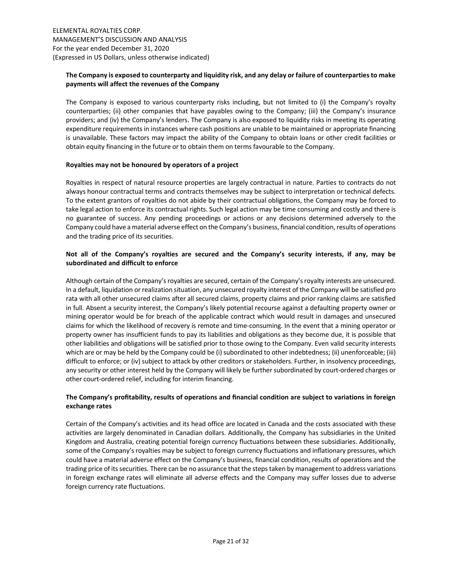# The Company is exposed to counterparty and liquidity risk, and any delay or failure of counterparties to make payments will affect the revenues of the Company

The Company is exposed to various counterparty risks including, but not limited to (i) the Company's royalty counterparties; (ii) other companies that have payables owing to the Company; (iii) the Company's insurance providers; and (iv) the Company's lenders. The Company is also exposed to liquidity risks in meeting its operating expenditure requirements in instances where cash positions are unable to be maintained or appropriate financing is unavailable. These factors may impact the ability of the Company to obtain loans or other credit facilities or obtain equity financing in the future or to obtain them on terms favourable to the Company.

# Royalties may not be honoured by operators of a project

Royalties in respect of natural resource properties are largely contractual in nature. Parties to contracts do not always honour contractual terms and contracts themselves may be subject to interpretation or technical defects. To the extent grantors of royalties do not abide by their contractual obligations, the Company may be forced to take legal action to enforce its contractual rights. Such legal action may be time consuming and costly and there is no guarantee of success. Any pending proceedings or actions or any decisions determined adversely to the Company could have a material adverse effect on the Company's business, financial condition, results of operations and the trading price of its securities.

# Not all of the Company's royalties are secured and the Company's security interests, if any, may be subordinated and difficult to enforce

Although certain of the Company's royalties are secured, certain of the Company's royalty interests are unsecured. In a default, liquidation or realization situation, any unsecured royalty interest of the Company will be satisfied pro rata with all other unsecured claims after all secured claims, property claims and prior ranking claims are satisfied in full. Absent a security interest, the Company's likely potential recourse against a defaulting property owner or mining operator would be for breach of the applicable contract which would result in damages and unsecured claims for which the likelihood of recovery is remote and time-consuming. In the event that a mining operator or property owner has insufficient funds to pay its liabilities and obligations as they become due, it is possible that other liabilities and obligations will be satisfied prior to those owing to the Company. Even valid security interests which are or may be held by the Company could be (i) subordinated to other indebtedness; (ii) unenforceable; (iii) difficult to enforce; or (iv) subject to attack by other creditors or stakeholders. Further, in insolvency proceedings, any security or other interest held by the Company will likely be further subordinated by court-ordered charges or other court-ordered relief, including for interim financing.

# The Company's profitability, results of operations and financial condition are subject to variations in foreign exchange rates

Certain of the Company's activities and its head office are located in Canada and the costs associated with these activities are largely denominated in Canadian dollars. Additionally, the Company has subsidiaries in the United Kingdom and Australia, creating potential foreign currency fluctuations between these subsidiaries. Additionally, some of the Company's royalties may be subject to foreign currency fluctuations and inflationary pressures, which could have a material adverse effect on the Company's business, financial condition, results of operations and the trading price of its securities. There can be no assurance that the steps taken by management to address variations in foreign exchange rates will eliminate all adverse effects and the Company may suffer losses due to adverse foreign currency rate fluctuations.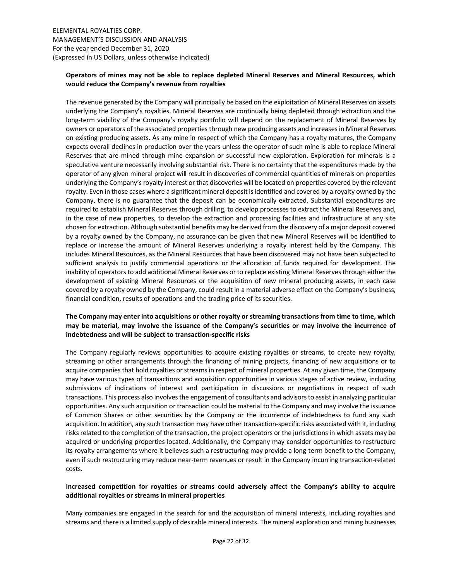# Operators of mines may not be able to replace depleted Mineral Reserves and Mineral Resources, which would reduce the Company's revenue from royalties

The revenue generated by the Company will principally be based on the exploitation of Mineral Reserves on assets underlying the Company's royalties. Mineral Reserves are continually being depleted through extraction and the long-term viability of the Company's royalty portfolio will depend on the replacement of Mineral Reserves by owners or operators of the associated properties through new producing assets and increases in Mineral Reserves on existing producing assets. As any mine in respect of which the Company has a royalty matures, the Company expects overall declines in production over the years unless the operator of such mine is able to replace Mineral Reserves that are mined through mine expansion or successful new exploration. Exploration for minerals is a speculative venture necessarily involving substantial risk. There is no certainty that the expenditures made by the operator of any given mineral project will result in discoveries of commercial quantities of minerals on properties underlying the Company's royalty interest or that discoveries will be located on properties covered by the relevant royalty. Even in those cases where a significant mineral deposit is identified and covered by a royalty owned by the Company, there is no guarantee that the deposit can be economically extracted. Substantial expenditures are required to establish Mineral Reserves through drilling, to develop processes to extract the Mineral Reserves and, in the case of new properties, to develop the extraction and processing facilities and infrastructure at any site chosen for extraction. Although substantial benefits may be derived from the discovery of a major deposit covered by a royalty owned by the Company, no assurance can be given that new Mineral Reserves will be identified to replace or increase the amount of Mineral Reserves underlying a royalty interest held by the Company. This includes Mineral Resources, as the Mineral Resources that have been discovered may not have been subjected to sufficient analysis to justify commercial operations or the allocation of funds required for development. The inability of operators to add additional Mineral Reserves or to replace existing Mineral Reserves through either the development of existing Mineral Resources or the acquisition of new mineral producing assets, in each case covered by a royalty owned by the Company, could result in a material adverse effect on the Company's business, financial condition, results of operations and the trading price of its securities.

# The Company may enter into acquisitions or other royalty or streaming transactions from time to time, which may be material, may involve the issuance of the Company's securities or may involve the incurrence of indebtedness and will be subject to transaction-specific risks

The Company regularly reviews opportunities to acquire existing royalties or streams, to create new royalty, streaming or other arrangements through the financing of mining projects, financing of new acquisitions or to acquire companies that hold royalties or streams in respect of mineral properties. At any given time, the Company may have various types of transactions and acquisition opportunities in various stages of active review, including submissions of indications of interest and participation in discussions or negotiations in respect of such transactions. This process also involves the engagement of consultants and advisors to assist in analyzing particular opportunities. Any such acquisition or transaction could be material to the Company and may involve the issuance of Common Shares or other securities by the Company or the incurrence of indebtedness to fund any such acquisition. In addition, any such transaction may have other transaction-specific risks associated with it, including risks related to the completion of the transaction, the project operators or the jurisdictions in which assets may be acquired or underlying properties located. Additionally, the Company may consider opportunities to restructure its royalty arrangements where it believes such a restructuring may provide a long-term benefit to the Company, even if such restructuring may reduce near-term revenues or result in the Company incurring transaction-related costs.

# Increased competition for royalties or streams could adversely affect the Company's ability to acquire additional royalties or streams in mineral properties

Many companies are engaged in the search for and the acquisition of mineral interests, including royalties and streams and there is a limited supply of desirable mineral interests. The mineral exploration and mining businesses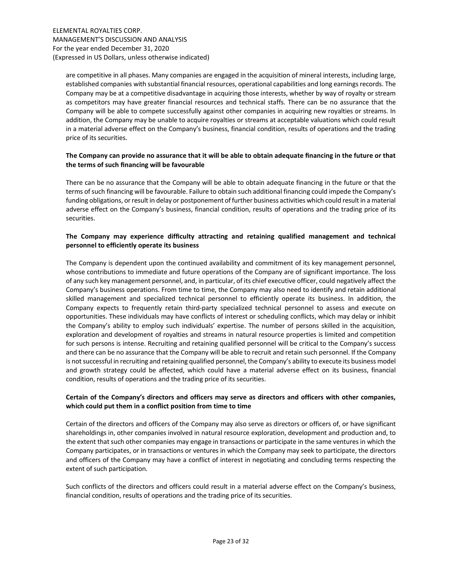are competitive in all phases. Many companies are engaged in the acquisition of mineral interests, including large, established companies with substantial financial resources, operational capabilities and long earnings records. The Company may be at a competitive disadvantage in acquiring those interests, whether by way of royalty or stream as competitors may have greater financial resources and technical staffs. There can be no assurance that the Company will be able to compete successfully against other companies in acquiring new royalties or streams. In addition, the Company may be unable to acquire royalties or streams at acceptable valuations which could result in a material adverse effect on the Company's business, financial condition, results of operations and the trading price of its securities.

# The Company can provide no assurance that it will be able to obtain adequate financing in the future or that the terms of such financing will be favourable

There can be no assurance that the Company will be able to obtain adequate financing in the future or that the terms of such financing will be favourable. Failure to obtain such additional financing could impede the Company's funding obligations, or result in delay or postponement of further business activities which could result in a material adverse effect on the Company's business, financial condition, results of operations and the trading price of its securities.

# The Company may experience difficulty attracting and retaining qualified management and technical personnel to efficiently operate its business

The Company is dependent upon the continued availability and commitment of its key management personnel, whose contributions to immediate and future operations of the Company are of significant importance. The loss of any such key management personnel, and, in particular, of its chief executive officer, could negatively affect the Company's business operations. From time to time, the Company may also need to identify and retain additional skilled management and specialized technical personnel to efficiently operate its business. In addition, the Company expects to frequently retain third-party specialized technical personnel to assess and execute on opportunities. These individuals may have conflicts of interest or scheduling conflicts, which may delay or inhibit the Company's ability to employ such individuals' expertise. The number of persons skilled in the acquisition, exploration and development of royalties and streams in natural resource properties is limited and competition for such persons is intense. Recruiting and retaining qualified personnel will be critical to the Company's success and there can be no assurance that the Company will be able to recruit and retain such personnel. If the Company is not successful in recruiting and retaining qualified personnel, the Company's ability to execute its business model and growth strategy could be affected, which could have a material adverse effect on its business, financial condition, results of operations and the trading price of its securities.

# Certain of the Company's directors and officers may serve as directors and officers with other companies, which could put them in a conflict position from time to time

Certain of the directors and officers of the Company may also serve as directors or officers of, or have significant shareholdings in, other companies involved in natural resource exploration, development and production and, to the extent that such other companies may engage in transactions or participate in the same ventures in which the Company participates, or in transactions or ventures in which the Company may seek to participate, the directors and officers of the Company may have a conflict of interest in negotiating and concluding terms respecting the extent of such participation.

Such conflicts of the directors and officers could result in a material adverse effect on the Company's business, financial condition, results of operations and the trading price of its securities.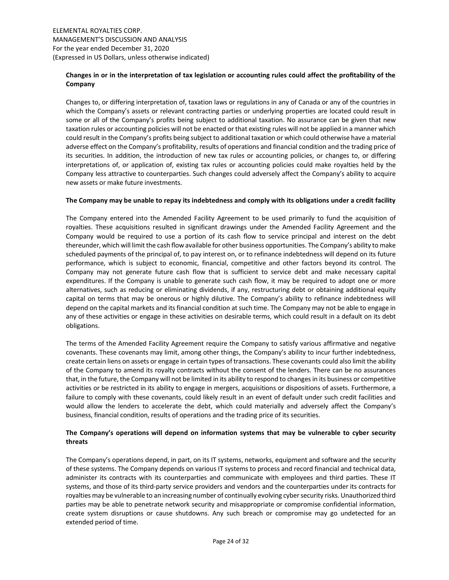# Changes in or in the interpretation of tax legislation or accounting rules could affect the profitability of the Company

Changes to, or differing interpretation of, taxation laws or regulations in any of Canada or any of the countries in which the Company's assets or relevant contracting parties or underlying properties are located could result in some or all of the Company's profits being subject to additional taxation. No assurance can be given that new taxation rules or accounting policies will not be enacted or that existing rules will not be applied in a manner which could result in the Company's profits being subject to additional taxation or which could otherwise have a material adverse effect on the Company's profitability, results of operations and financial condition and the trading price of its securities. In addition, the introduction of new tax rules or accounting policies, or changes to, or differing interpretations of, or application of, existing tax rules or accounting policies could make royalties held by the Company less attractive to counterparties. Such changes could adversely affect the Company's ability to acquire new assets or make future investments.

### The Company may be unable to repay its indebtedness and comply with its obligations under a credit facility

The Company entered into the Amended Facility Agreement to be used primarily to fund the acquisition of royalties. These acquisitions resulted in significant drawings under the Amended Facility Agreement and the Company would be required to use a portion of its cash flow to service principal and interest on the debt thereunder, which will limit the cash flow available for other business opportunities. The Company's ability to make scheduled payments of the principal of, to pay interest on, or to refinance indebtedness will depend on its future performance, which is subject to economic, financial, competitive and other factors beyond its control. The Company may not generate future cash flow that is sufficient to service debt and make necessary capital expenditures. If the Company is unable to generate such cash flow, it may be required to adopt one or more alternatives, such as reducing or eliminating dividends, if any, restructuring debt or obtaining additional equity capital on terms that may be onerous or highly dilutive. The Company's ability to refinance indebtedness will depend on the capital markets and its financial condition at such time. The Company may not be able to engage in any of these activities or engage in these activities on desirable terms, which could result in a default on its debt obligations.

The terms of the Amended Facility Agreement require the Company to satisfy various affirmative and negative covenants. These covenants may limit, among other things, the Company's ability to incur further indebtedness, create certain liens on assets or engage in certain types of transactions. These covenants could also limit the ability of the Company to amend its royalty contracts without the consent of the lenders. There can be no assurances that, in the future, the Company will not be limited in its ability to respond to changes in its business or competitive activities or be restricted in its ability to engage in mergers, acquisitions or dispositions of assets. Furthermore, a failure to comply with these covenants, could likely result in an event of default under such credit facilities and would allow the lenders to accelerate the debt, which could materially and adversely affect the Company's business, financial condition, results of operations and the trading price of its securities.

# The Company's operations will depend on information systems that may be vulnerable to cyber security threats

The Company's operations depend, in part, on its IT systems, networks, equipment and software and the security of these systems. The Company depends on various IT systems to process and record financial and technical data, administer its contracts with its counterparties and communicate with employees and third parties. These IT systems, and those of its third-party service providers and vendors and the counterparties under its contracts for royalties may be vulnerable to an increasing number of continually evolving cyber security risks. Unauthorized third parties may be able to penetrate network security and misappropriate or compromise confidential information, create system disruptions or cause shutdowns. Any such breach or compromise may go undetected for an extended period of time.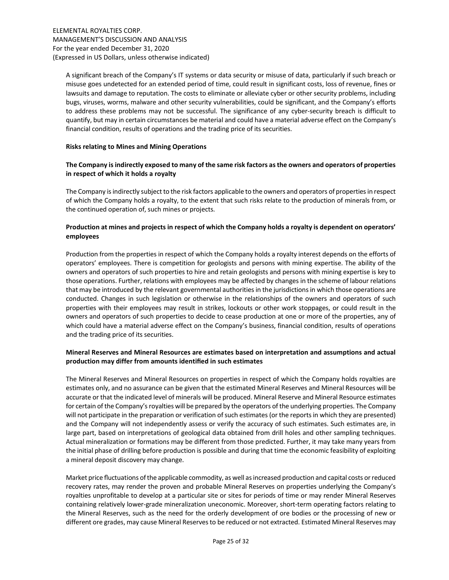A significant breach of the Company's IT systems or data security or misuse of data, particularly if such breach or misuse goes undetected for an extended period of time, could result in significant costs, loss of revenue, fines or lawsuits and damage to reputation. The costs to eliminate or alleviate cyber or other security problems, including bugs, viruses, worms, malware and other security vulnerabilities, could be significant, and the Company's efforts to address these problems may not be successful. The significance of any cyber-security breach is difficult to quantify, but may in certain circumstances be material and could have a material adverse effect on the Company's financial condition, results of operations and the trading price of its securities.

# Risks relating to Mines and Mining Operations

# The Company is indirectly exposed to many of the same risk factors as the owners and operators of properties in respect of which it holds a royalty

The Company is indirectly subject to the risk factors applicable to the owners and operators of properties in respect of which the Company holds a royalty, to the extent that such risks relate to the production of minerals from, or the continued operation of, such mines or projects.

# Production at mines and projects in respect of which the Company holds a royalty is dependent on operators' employees

Production from the properties in respect of which the Company holds a royalty interest depends on the efforts of operators' employees. There is competition for geologists and persons with mining expertise. The ability of the owners and operators of such properties to hire and retain geologists and persons with mining expertise is key to those operations. Further, relations with employees may be affected by changes in the scheme of labour relations that may be introduced by the relevant governmental authorities in the jurisdictions in which those operations are conducted. Changes in such legislation or otherwise in the relationships of the owners and operators of such properties with their employees may result in strikes, lockouts or other work stoppages, or could result in the owners and operators of such properties to decide to cease production at one or more of the properties, any of which could have a material adverse effect on the Company's business, financial condition, results of operations and the trading price of its securities.

# Mineral Reserves and Mineral Resources are estimates based on interpretation and assumptions and actual production may differ from amounts identified in such estimates

The Mineral Reserves and Mineral Resources on properties in respect of which the Company holds royalties are estimates only, and no assurance can be given that the estimated Mineral Reserves and Mineral Resources will be accurate or that the indicated level of minerals will be produced. Mineral Reserve and Mineral Resource estimates for certain of the Company's royalties will be prepared by the operators of the underlying properties. The Company will not participate in the preparation or verification of such estimates (or the reports in which they are presented) and the Company will not independently assess or verify the accuracy of such estimates. Such estimates are, in large part, based on interpretations of geological data obtained from drill holes and other sampling techniques. Actual mineralization or formations may be different from those predicted. Further, it may take many years from the initial phase of drilling before production is possible and during that time the economic feasibility of exploiting a mineral deposit discovery may change.

Market price fluctuations of the applicable commodity, as well as increased production and capital costs or reduced recovery rates, may render the proven and probable Mineral Reserves on properties underlying the Company's royalties unprofitable to develop at a particular site or sites for periods of time or may render Mineral Reserves containing relatively lower-grade mineralization uneconomic. Moreover, short-term operating factors relating to the Mineral Reserves, such as the need for the orderly development of ore bodies or the processing of new or different ore grades, may cause Mineral Reserves to be reduced or not extracted. Estimated Mineral Reserves may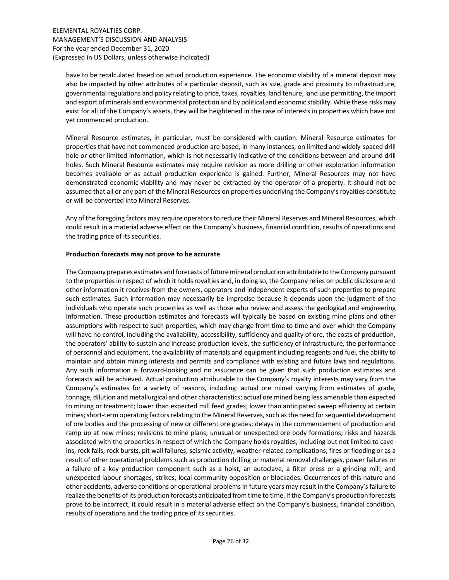have to be recalculated based on actual production experience. The economic viability of a mineral deposit may also be impacted by other attributes of a particular deposit, such as size, grade and proximity to infrastructure, governmental regulations and policy relating to price, taxes, royalties, land tenure, land use permitting, the import and export of minerals and environmental protection and by political and economic stability. While these risks may exist for all of the Company's assets, they will be heightened in the case of interests in properties which have not yet commenced production.

Mineral Resource estimates, in particular, must be considered with caution. Mineral Resource estimates for properties that have not commenced production are based, in many instances, on limited and widely-spaced drill hole or other limited information, which is not necessarily indicative of the conditions between and around drill holes. Such Mineral Resource estimates may require revision as more drilling or other exploration information becomes available or as actual production experience is gained. Further, Mineral Resources may not have demonstrated economic viability and may never be extracted by the operator of a property. It should not be assumed that all or any part of the Mineral Resources on properties underlying the Company's royalties constitute or will be converted into Mineral Reserves.

Any of the foregoing factors may require operators to reduce their Mineral Reserves and Mineral Resources, which could result in a material adverse effect on the Company's business, financial condition, results of operations and the trading price of its securities.

### Production forecasts may not prove to be accurate

The Company prepares estimates and forecasts of future mineral production attributable to the Company pursuant to the properties in respect of which it holds royalties and, in doing so, the Company relies on public disclosure and other information it receives from the owners, operators and independent experts of such properties to prepare such estimates. Such information may necessarily be imprecise because it depends upon the judgment of the individuals who operate such properties as well as those who review and assess the geological and engineering information. These production estimates and forecasts will typically be based on existing mine plans and other assumptions with respect to such properties, which may change from time to time and over which the Company will have no control, including the availability, accessibility, sufficiency and quality of ore, the costs of production, the operators' ability to sustain and increase production levels, the sufficiency of infrastructure, the performance of personnel and equipment, the availability of materials and equipment including reagents and fuel, the ability to maintain and obtain mining interests and permits and compliance with existing and future laws and regulations. Any such information is forward-looking and no assurance can be given that such production estimates and forecasts will be achieved. Actual production attributable to the Company's royalty interests may vary from the Company's estimates for a variety of reasons, including: actual ore mined varying from estimates of grade, tonnage, dilution and metallurgical and other characteristics; actual ore mined being less amenable than expected to mining or treatment; lower than expected mill feed grades; lower than anticipated sweep efficiency at certain mines; short-term operating factors relating to the Mineral Reserves, such as the need for sequential development of ore bodies and the processing of new or different ore grades; delays in the commencement of production and ramp up at new mines; revisions to mine plans; unusual or unexpected ore body formations; risks and hazards associated with the properties in respect of which the Company holds royalties, including but not limited to caveins, rock falls, rock bursts, pit wall failures, seismic activity, weather-related complications, fires or flooding or as a result of other operational problems such as production drilling or material removal challenges, power failures or a failure of a key production component such as a hoist, an autoclave, a filter press or a grinding mill; and unexpected labour shortages, strikes, local community opposition or blockades. Occurrences of this nature and other accidents, adverse conditions or operational problems in future years may result in the Company's failure to realize the benefits of its production forecasts anticipated from time to time. If the Company's production forecasts prove to be incorrect, it could result in a material adverse effect on the Company's business, financial condition, results of operations and the trading price of its securities.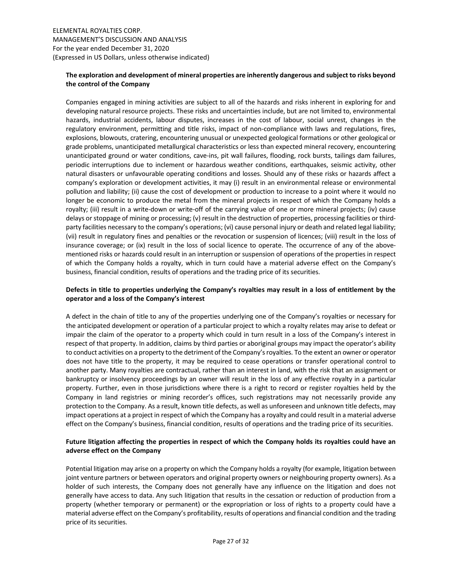# The exploration and development of mineral properties are inherently dangerous and subject to risks beyond the control of the Company

Companies engaged in mining activities are subject to all of the hazards and risks inherent in exploring for and developing natural resource projects. These risks and uncertainties include, but are not limited to, environmental hazards, industrial accidents, labour disputes, increases in the cost of labour, social unrest, changes in the regulatory environment, permitting and title risks, impact of non-compliance with laws and regulations, fires, explosions, blowouts, cratering, encountering unusual or unexpected geological formations or other geological or grade problems, unanticipated metallurgical characteristics or less than expected mineral recovery, encountering unanticipated ground or water conditions, cave-ins, pit wall failures, flooding, rock bursts, tailings dam failures, periodic interruptions due to inclement or hazardous weather conditions, earthquakes, seismic activity, other natural disasters or unfavourable operating conditions and losses. Should any of these risks or hazards affect a company's exploration or development activities, it may (i) result in an environmental release or environmental pollution and liability; (ii) cause the cost of development or production to increase to a point where it would no longer be economic to produce the metal from the mineral projects in respect of which the Company holds a royalty; (iii) result in a write-down or write-off of the carrying value of one or more mineral projects; (iv) cause delays or stoppage of mining or processing; (v) result in the destruction of properties, processing facilities or thirdparty facilities necessary to the company's operations; (vi) cause personal injury or death and related legal liability; (vii) result in regulatory fines and penalties or the revocation or suspension of licences; (viii) result in the loss of insurance coverage; or (ix) result in the loss of social licence to operate. The occurrence of any of the abovementioned risks or hazards could result in an interruption or suspension of operations of the properties in respect of which the Company holds a royalty, which in turn could have a material adverse effect on the Company's business, financial condition, results of operations and the trading price of its securities.

# Defects in title to properties underlying the Company's royalties may result in a loss of entitlement by the operator and a loss of the Company's interest

A defect in the chain of title to any of the properties underlying one of the Company's royalties or necessary for the anticipated development or operation of a particular project to which a royalty relates may arise to defeat or impair the claim of the operator to a property which could in turn result in a loss of the Company's interest in respect of that property. In addition, claims by third parties or aboriginal groups may impact the operator's ability to conduct activities on a property to the detriment of the Company's royalties. To the extent an owner or operator does not have title to the property, it may be required to cease operations or transfer operational control to another party. Many royalties are contractual, rather than an interest in land, with the risk that an assignment or bankruptcy or insolvency proceedings by an owner will result in the loss of any effective royalty in a particular property. Further, even in those jurisdictions where there is a right to record or register royalties held by the Company in land registries or mining recorder's offices, such registrations may not necessarily provide any protection to the Company. As a result, known title defects, as well as unforeseen and unknown title defects, may impact operations at a project in respect of which the Company has a royalty and could result in a material adverse effect on the Company's business, financial condition, results of operations and the trading price of its securities.

# Future litigation affecting the properties in respect of which the Company holds its royalties could have an adverse effect on the Company

Potential litigation may arise on a property on which the Company holds a royalty (for example, litigation between joint venture partners or between operators and original property owners or neighbouring property owners). As a holder of such interests, the Company does not generally have any influence on the litigation and does not generally have access to data. Any such litigation that results in the cessation or reduction of production from a property (whether temporary or permanent) or the expropriation or loss of rights to a property could have a material adverse effect on the Company's profitability, results of operations and financial condition and the trading price of its securities.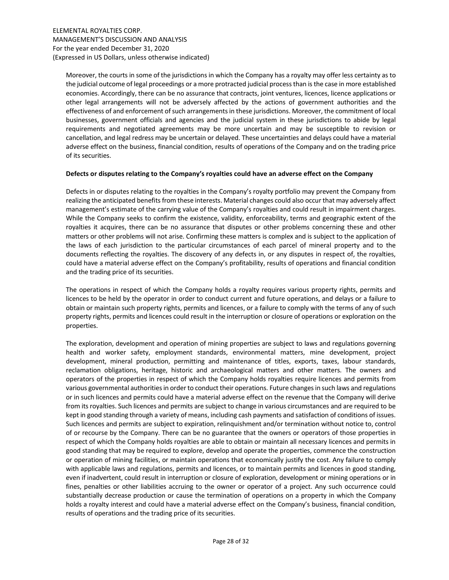Moreover, the courts in some of the jurisdictions in which the Company has a royalty may offer less certainty as to the judicial outcome of legal proceedings or a more protracted judicial process than is the case in more established economies. Accordingly, there can be no assurance that contracts, joint ventures, licences, licence applications or other legal arrangements will not be adversely affected by the actions of government authorities and the effectiveness of and enforcement of such arrangements in these jurisdictions. Moreover, the commitment of local businesses, government officials and agencies and the judicial system in these jurisdictions to abide by legal requirements and negotiated agreements may be more uncertain and may be susceptible to revision or cancellation, and legal redress may be uncertain or delayed. These uncertainties and delays could have a material adverse effect on the business, financial condition, results of operations of the Company and on the trading price of its securities.

### Defects or disputes relating to the Company's royalties could have an adverse effect on the Company

Defects in or disputes relating to the royalties in the Company's royalty portfolio may prevent the Company from realizing the anticipated benefits from these interests. Material changes could also occur that may adversely affect management's estimate of the carrying value of the Company's royalties and could result in impairment charges. While the Company seeks to confirm the existence, validity, enforceability, terms and geographic extent of the royalties it acquires, there can be no assurance that disputes or other problems concerning these and other matters or other problems will not arise. Confirming these matters is complex and is subject to the application of the laws of each jurisdiction to the particular circumstances of each parcel of mineral property and to the documents reflecting the royalties. The discovery of any defects in, or any disputes in respect of, the royalties, could have a material adverse effect on the Company's profitability, results of operations and financial condition and the trading price of its securities.

The operations in respect of which the Company holds a royalty requires various property rights, permits and licences to be held by the operator in order to conduct current and future operations, and delays or a failure to obtain or maintain such property rights, permits and licences, or a failure to comply with the terms of any of such property rights, permits and licences could result in the interruption or closure of operations or exploration on the properties.

The exploration, development and operation of mining properties are subject to laws and regulations governing health and worker safety, employment standards, environmental matters, mine development, project development, mineral production, permitting and maintenance of titles, exports, taxes, labour standards, reclamation obligations, heritage, historic and archaeological matters and other matters. The owners and operators of the properties in respect of which the Company holds royalties require licences and permits from various governmental authorities in order to conduct their operations. Future changes in such laws and regulations or in such licences and permits could have a material adverse effect on the revenue that the Company will derive from its royalties. Such licences and permits are subject to change in various circumstances and are required to be kept in good standing through a variety of means, including cash payments and satisfaction of conditions of issues. Such licences and permits are subject to expiration, relinquishment and/or termination without notice to, control of or recourse by the Company. There can be no guarantee that the owners or operators of those properties in respect of which the Company holds royalties are able to obtain or maintain all necessary licences and permits in good standing that may be required to explore, develop and operate the properties, commence the construction or operation of mining facilities, or maintain operations that economically justify the cost. Any failure to comply with applicable laws and regulations, permits and licences, or to maintain permits and licences in good standing, even if inadvertent, could result in interruption or closure of exploration, development or mining operations or in fines, penalties or other liabilities accruing to the owner or operator of a project. Any such occurrence could substantially decrease production or cause the termination of operations on a property in which the Company holds a royalty interest and could have a material adverse effect on the Company's business, financial condition, results of operations and the trading price of its securities.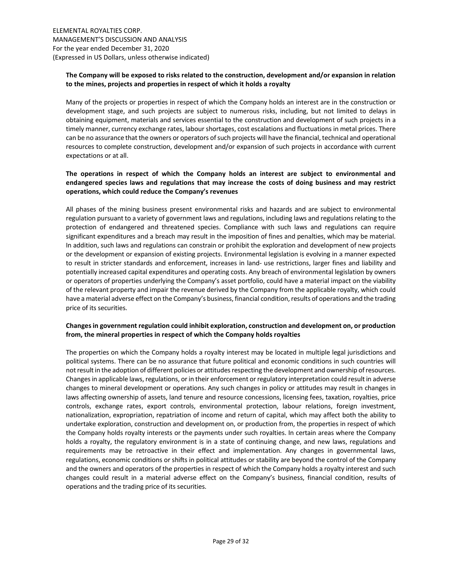# The Company will be exposed to risks related to the construction, development and/or expansion in relation to the mines, projects and properties in respect of which it holds a royalty

Many of the projects or properties in respect of which the Company holds an interest are in the construction or development stage, and such projects are subject to numerous risks, including, but not limited to delays in obtaining equipment, materials and services essential to the construction and development of such projects in a timely manner, currency exchange rates, labour shortages, cost escalations and fluctuations in metal prices. There can be no assurance that the owners or operators of such projects will have the financial, technical and operational resources to complete construction, development and/or expansion of such projects in accordance with current expectations or at all.

# The operations in respect of which the Company holds an interest are subject to environmental and endangered species laws and regulations that may increase the costs of doing business and may restrict operations, which could reduce the Company's revenues

All phases of the mining business present environmental risks and hazards and are subject to environmental regulation pursuant to a variety of government laws and regulations, including laws and regulations relating to the protection of endangered and threatened species. Compliance with such laws and regulations can require significant expenditures and a breach may result in the imposition of fines and penalties, which may be material. In addition, such laws and regulations can constrain or prohibit the exploration and development of new projects or the development or expansion of existing projects. Environmental legislation is evolving in a manner expected to result in stricter standards and enforcement, increases in land- use restrictions, larger fines and liability and potentially increased capital expenditures and operating costs. Any breach of environmental legislation by owners or operators of properties underlying the Company's asset portfolio, could have a material impact on the viability of the relevant property and impair the revenue derived by the Company from the applicable royalty, which could have a material adverse effect on the Company's business, financial condition, results of operations and the trading price of its securities.

# Changes in government regulation could inhibit exploration, construction and development on, or production from, the mineral properties in respect of which the Company holds royalties

The properties on which the Company holds a royalty interest may be located in multiple legal jurisdictions and political systems. There can be no assurance that future political and economic conditions in such countries will not result in the adoption of different policies or attitudes respecting the development and ownership of resources. Changes in applicable laws, regulations, or in their enforcement or regulatory interpretation could result in adverse changes to mineral development or operations. Any such changes in policy or attitudes may result in changes in laws affecting ownership of assets, land tenure and resource concessions, licensing fees, taxation, royalties, price controls, exchange rates, export controls, environmental protection, labour relations, foreign investment, nationalization, expropriation, repatriation of income and return of capital, which may affect both the ability to undertake exploration, construction and development on, or production from, the properties in respect of which the Company holds royalty interests or the payments under such royalties. In certain areas where the Company holds a royalty, the regulatory environment is in a state of continuing change, and new laws, regulations and requirements may be retroactive in their effect and implementation. Any changes in governmental laws, regulations, economic conditions or shifts in political attitudes or stability are beyond the control of the Company and the owners and operators of the properties in respect of which the Company holds a royalty interest and such changes could result in a material adverse effect on the Company's business, financial condition, results of operations and the trading price of its securities.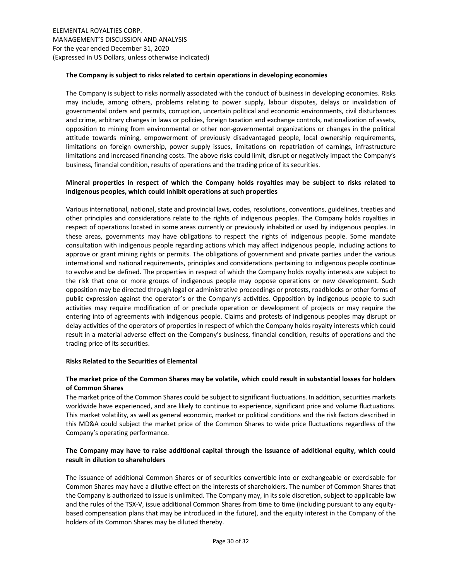### The Company is subject to risks related to certain operations in developing economies

The Company is subject to risks normally associated with the conduct of business in developing economies. Risks may include, among others, problems relating to power supply, labour disputes, delays or invalidation of governmental orders and permits, corruption, uncertain political and economic environments, civil disturbances and crime, arbitrary changes in laws or policies, foreign taxation and exchange controls, nationalization of assets, opposition to mining from environmental or other non-governmental organizations or changes in the political attitude towards mining, empowerment of previously disadvantaged people, local ownership requirements, limitations on foreign ownership, power supply issues, limitations on repatriation of earnings, infrastructure limitations and increased financing costs. The above risks could limit, disrupt or negatively impact the Company's business, financial condition, results of operations and the trading price of its securities.

# Mineral properties in respect of which the Company holds royalties may be subject to risks related to indigenous peoples, which could inhibit operations at such properties

Various international, national, state and provincial laws, codes, resolutions, conventions, guidelines, treaties and other principles and considerations relate to the rights of indigenous peoples. The Company holds royalties in respect of operations located in some areas currently or previously inhabited or used by indigenous peoples. In these areas, governments may have obligations to respect the rights of indigenous people. Some mandate consultation with indigenous people regarding actions which may affect indigenous people, including actions to approve or grant mining rights or permits. The obligations of government and private parties under the various international and national requirements, principles and considerations pertaining to indigenous people continue to evolve and be defined. The properties in respect of which the Company holds royalty interests are subject to the risk that one or more groups of indigenous people may oppose operations or new development. Such opposition may be directed through legal or administrative proceedings or protests, roadblocks or other forms of public expression against the operator's or the Company's activities. Opposition by indigenous people to such activities may require modification of or preclude operation or development of projects or may require the entering into of agreements with indigenous people. Claims and protests of indigenous peoples may disrupt or delay activities of the operators of properties in respect of which the Company holds royalty interests which could result in a material adverse effect on the Company's business, financial condition, results of operations and the trading price of its securities.

#### Risks Related to the Securities of Elemental

# The market price of the Common Shares may be volatile, which could result in substantial losses for holders of Common Shares

The market price of the Common Shares could be subject to significant fluctuations. In addition, securities markets worldwide have experienced, and are likely to continue to experience, significant price and volume fluctuations. This market volatility, as well as general economic, market or political conditions and the risk factors described in this MD&A could subject the market price of the Common Shares to wide price fluctuations regardless of the Company's operating performance.

# The Company may have to raise additional capital through the issuance of additional equity, which could result in dilution to shareholders

The issuance of additional Common Shares or of securities convertible into or exchangeable or exercisable for Common Shares may have a dilutive effect on the interests of shareholders. The number of Common Shares that the Company is authorized to issue is unlimited. The Company may, in its sole discretion, subject to applicable law and the rules of the TSX-V, issue additional Common Shares from time to time (including pursuant to any equitybased compensation plans that may be introduced in the future), and the equity interest in the Company of the holders of its Common Shares may be diluted thereby.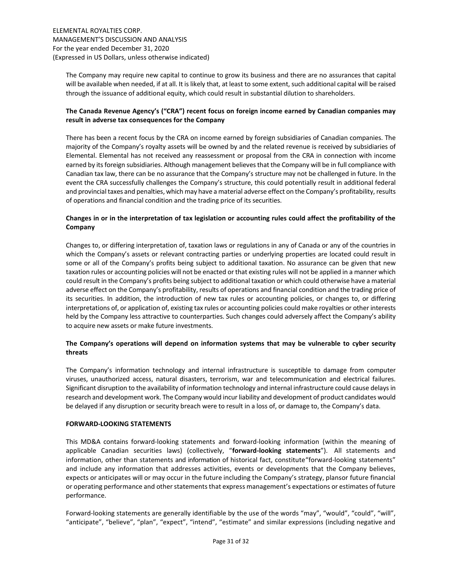The Company may require new capital to continue to grow its business and there are no assurances that capital will be available when needed, if at all. It is likely that, at least to some extent, such additional capital will be raised through the issuance of additional equity, which could result in substantial dilution to shareholders.

# The Canada Revenue Agency's ("CRA") recent focus on foreign income earned by Canadian companies may result in adverse tax consequences for the Company

There has been a recent focus by the CRA on income earned by foreign subsidiaries of Canadian companies. The majority of the Company's royalty assets will be owned by and the related revenue is received by subsidiaries of Elemental. Elemental has not received any reassessment or proposal from the CRA in connection with income earned by its foreign subsidiaries. Although management believes that the Company will be in full compliance with Canadian tax law, there can be no assurance that the Company's structure may not be challenged in future. In the event the CRA successfully challenges the Company's structure, this could potentially result in additional federal and provincial taxes and penalties, which may have a material adverse effect on the Company's profitability, results of operations and financial condition and the trading price of its securities.

# Changes in or in the interpretation of tax legislation or accounting rules could affect the profitability of the Company

Changes to, or differing interpretation of, taxation laws or regulations in any of Canada or any of the countries in which the Company's assets or relevant contracting parties or underlying properties are located could result in some or all of the Company's profits being subject to additional taxation. No assurance can be given that new taxation rules or accounting policies will not be enacted or that existing rules will not be applied in a manner which could result in the Company's profits being subject to additional taxation or which could otherwise have a material adverse effect on the Company's profitability, results of operations and financial condition and the trading price of its securities. In addition, the introduction of new tax rules or accounting policies, or changes to, or differing interpretations of, or application of, existing tax rules or accounting policies could make royalties or other interests held by the Company less attractive to counterparties. Such changes could adversely affect the Company's ability to acquire new assets or make future investments.

# The Company's operations will depend on information systems that may be vulnerable to cyber security threats

The Company's information technology and internal infrastructure is susceptible to damage from computer viruses, unauthorized access, natural disasters, terrorism, war and telecommunication and electrical failures. Significant disruption to the availability of information technology and internal infrastructure could cause delays in research and development work. The Company would incur liability and development of product candidates would be delayed if any disruption or security breach were to result in a loss of, or damage to, the Company's data.

# FORWARD-LOOKING STATEMENTS

This MD&A contains forward-looking statements and forward-looking information (within the meaning of applicable Canadian securities laws) (collectively, "forward-looking statements"). All statements and information, other than statements and information of historical fact, constitute "forward-looking statements" and include any information that addresses activities, events or developments that the Company believes, expects or anticipates will or may occur in the future including the Company's strategy, plansor future financial or operating performance and other statements that express management's expectations or estimates of future performance.

Forward-looking statements are generally identifiable by the use of the words "may", "would", "could", "will", "anticipate", "believe", "plan", "expect", "intend", "estimate" and similar expressions (including negative and